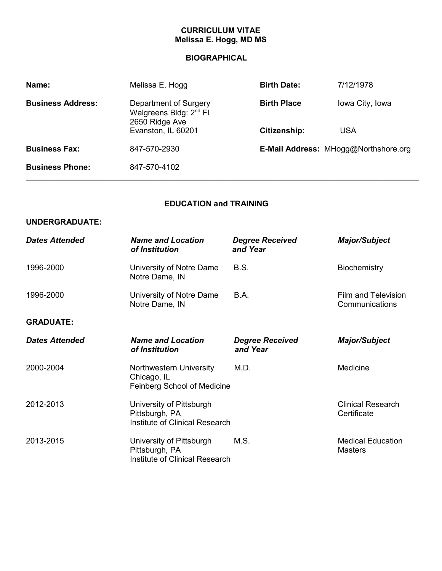## **CURRICULUM VITAE Melissa E. Hogg, MD MS**

# **BIOGRAPHICAL**

| Name:                    | Melissa E. Hogg<br><b>Birth Date:</b>                                         |                    | 7/12/1978                            |
|--------------------------|-------------------------------------------------------------------------------|--------------------|--------------------------------------|
| <b>Business Address:</b> | Department of Surgery<br>Walgreens Bldg: 2 <sup>nd</sup> Fl<br>2650 Ridge Ave | <b>Birth Place</b> | Iowa City, Iowa                      |
|                          | Evanston, IL 60201                                                            | Citizenship:       | <b>USA</b>                           |
| <b>Business Fax:</b>     | 847-570-2930                                                                  |                    | E-Mail Address: MHogg@Northshore.org |
| <b>Business Phone:</b>   | 847-570-4102                                                                  |                    |                                      |

# **EDUCATION and TRAINING**

#### **UNDERGRADUATE:**

| <b>Dates Attended</b> | <b>Name and Location</b><br>of Institution                                          | <b>Degree Received</b><br>and Year | <b>Major/Subject</b>                       |
|-----------------------|-------------------------------------------------------------------------------------|------------------------------------|--------------------------------------------|
| 1996-2000             | University of Notre Dame<br>Notre Dame, IN                                          | <b>B.S.</b>                        | <b>Biochemistry</b>                        |
| 1996-2000             | University of Notre Dame<br>Notre Dame, IN                                          | B.A.                               | Film and Television<br>Communications      |
| <b>GRADUATE:</b>      |                                                                                     |                                    |                                            |
| <b>Dates Attended</b> | <b>Name and Location</b><br>of Institution                                          | <b>Degree Received</b><br>and Year | <b>Major/Subject</b>                       |
| 2000-2004             | Northwestern University<br>Chicago, IL<br>Feinberg School of Medicine               | M.D.                               | Medicine                                   |
| 2012-2013             | University of Pittsburgh<br>Pittsburgh, PA<br><b>Institute of Clinical Research</b> |                                    | <b>Clinical Research</b><br>Certificate    |
| 2013-2015             | University of Pittsburgh<br>Pittsburgh, PA<br>Institute of Clinical Research        | M.S.                               | <b>Medical Education</b><br><b>Masters</b> |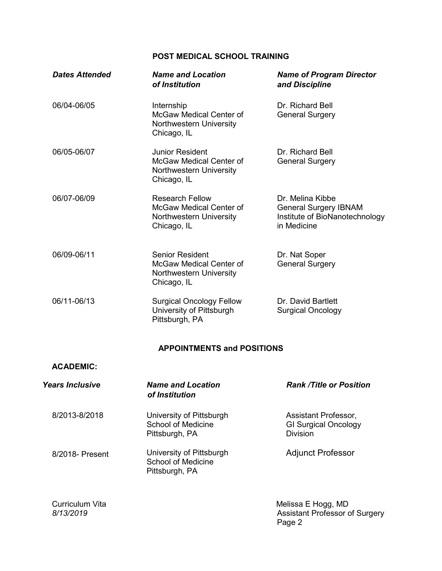### **POST MEDICAL SCHOOL TRAINING**

| <b>Dates Attended</b>  | <b>Name and Location</b><br>of Institution                                                         | <b>Name of Program Director</b><br>and Discipline                                                 |
|------------------------|----------------------------------------------------------------------------------------------------|---------------------------------------------------------------------------------------------------|
| 06/04-06/05            | Internship<br>McGaw Medical Center of<br>Northwestern University<br>Chicago, IL                    | Dr. Richard Bell<br><b>General Surgery</b>                                                        |
| 06/05-06/07            | <b>Junior Resident</b><br>McGaw Medical Center of<br>Northwestern University<br>Chicago, IL        | Dr. Richard Bell<br><b>General Surgery</b>                                                        |
| 06/07-06/09            | <b>Research Fellow</b><br><b>McGaw Medical Center of</b><br>Northwestern University<br>Chicago, IL | Dr. Melina Kibbe<br><b>General Surgery IBNAM</b><br>Institute of BioNanotechnology<br>in Medicine |
| 06/09-06/11            | <b>Senior Resident</b><br><b>McGaw Medical Center of</b><br>Northwestern University<br>Chicago, IL | Dr. Nat Soper<br><b>General Surgery</b>                                                           |
| 06/11-06/13            | <b>Surgical Oncology Fellow</b><br>University of Pittsburgh<br>Pittsburgh, PA                      | Dr. David Bartlett<br><b>Surgical Oncology</b>                                                    |
|                        | <b>APPOINTMENTS and POSITIONS</b>                                                                  |                                                                                                   |
| <b>ACADEMIC:</b>       |                                                                                                    |                                                                                                   |
| <b>Years Inclusive</b> | <b>Name and Location</b>                                                                           | <b>Rank /Title or Position</b>                                                                    |

*of Institution*

8/2013-8/2018 University of Pittsburgh School of Medicine Pittsburgh, PA

8/2018- Present University of Pittsburgh School of Medicine Pittsburgh, PA Adjunct Professor

Curriculum Vita Melissa E Hogg, MD *8/13/2019* Assistant Professor of Surgery Page 2

Assistant Professor, GI Surgical Oncology

**Division**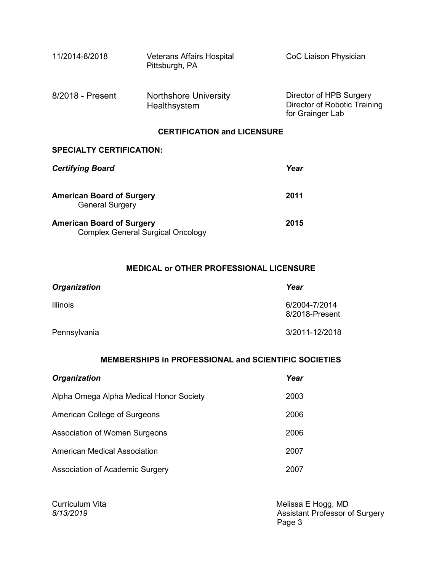| 11/2014-8/2018                     | <b>Veterans Affairs Hospital</b><br>Pittsburgh, PA | CoC Liaison Physician                                                       |  |
|------------------------------------|----------------------------------------------------|-----------------------------------------------------------------------------|--|
| 8/2018 - Present                   | <b>Northshore University</b><br>Healthsystem       | Director of HPB Surgery<br>Director of Robotic Training<br>for Grainger Lab |  |
| <b>CERTIFICATION and LICENSURE</b> |                                                    |                                                                             |  |

#### **SPECIALTY CERTIFICATION:**

| <b>Certifying Board</b>                                                      | Year |
|------------------------------------------------------------------------------|------|
| <b>American Board of Surgery</b><br><b>General Surgery</b>                   | 2011 |
| <b>American Board of Surgery</b><br><b>Complex General Surgical Oncology</b> | 2015 |

### **MEDICAL or OTHER PROFESSIONAL LICENSURE**

| <b>Organization</b> | Year                            |
|---------------------|---------------------------------|
| <b>Illinois</b>     | 6/2004-7/2014<br>8/2018-Present |
| Pennsylvania        | 3/2011-12/2018                  |

## **MEMBERSHIPS in PROFESSIONAL and SCIENTIFIC SOCIETIES**

| <b>Organization</b>                     | Year |
|-----------------------------------------|------|
| Alpha Omega Alpha Medical Honor Society | 2003 |
| American College of Surgeons            | 2006 |
| Association of Women Surgeons           | 2006 |
| American Medical Association            | 2007 |
| Association of Academic Surgery         | 2007 |

Curriculum Vita and the Melissa E Hogg, MD *8/13/2019* Assistant Professor of Surgery e de la provincia de la provincia de la provincia de la provincia de la provincia de la provincia de la provinci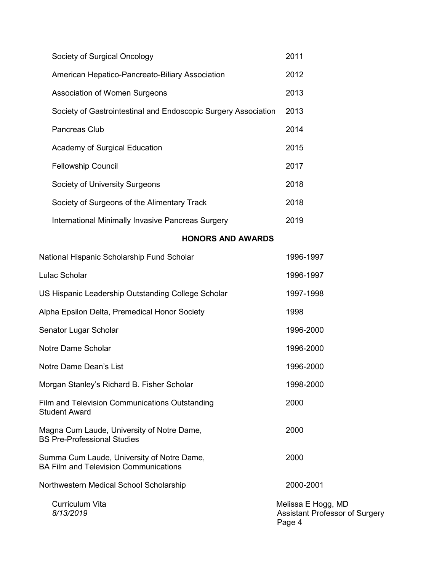| Society of Surgical Oncology                                   | 2011 |
|----------------------------------------------------------------|------|
| American Hepatico-Pancreato-Biliary Association                | 2012 |
| Association of Women Surgeons                                  | 2013 |
| Society of Gastrointestinal and Endoscopic Surgery Association | 2013 |
| Pancreas Club                                                  | 2014 |
| Academy of Surgical Education                                  | 2015 |
| <b>Fellowship Council</b>                                      | 2017 |
| Society of University Surgeons                                 | 2018 |
| Society of Surgeons of the Alimentary Track                    | 2018 |
| International Minimally Invasive Pancreas Surgery              | 2019 |

# **HONORS AND AWARDS**

| National Hispanic Scholarship Fund Scholar                                                 | 1996-1997                                                      |
|--------------------------------------------------------------------------------------------|----------------------------------------------------------------|
| Lulac Scholar                                                                              | 1996-1997                                                      |
| US Hispanic Leadership Outstanding College Scholar                                         | 1997-1998                                                      |
| Alpha Epsilon Delta, Premedical Honor Society                                              | 1998                                                           |
| Senator Lugar Scholar                                                                      | 1996-2000                                                      |
| Notre Dame Scholar                                                                         | 1996-2000                                                      |
| Notre Dame Dean's List                                                                     | 1996-2000                                                      |
| Morgan Stanley's Richard B. Fisher Scholar                                                 | 1998-2000                                                      |
| Film and Television Communications Outstanding<br><b>Student Award</b>                     | 2000                                                           |
| Magna Cum Laude, University of Notre Dame,<br><b>BS Pre-Professional Studies</b>           | 2000                                                           |
| Summa Cum Laude, University of Notre Dame,<br><b>BA Film and Television Communications</b> | 2000                                                           |
| Northwestern Medical School Scholarship                                                    | 2000-2001                                                      |
| Curriculum Vita<br>8/13/2019                                                               | Melissa E Hogg, MD<br>Assistant Professor of Surgery<br>Page 4 |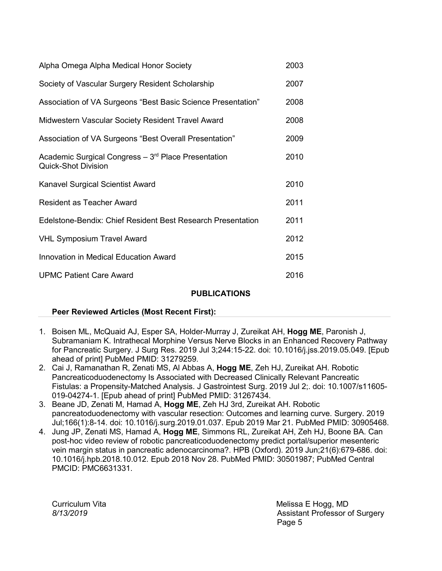| Alpha Omega Alpha Medical Honor Society                                           | 2003 |
|-----------------------------------------------------------------------------------|------|
| Society of Vascular Surgery Resident Scholarship                                  | 2007 |
| Association of VA Surgeons "Best Basic Science Presentation"                      | 2008 |
| Midwestern Vascular Society Resident Travel Award                                 | 2008 |
| Association of VA Surgeons "Best Overall Presentation"                            | 2009 |
| Academic Surgical Congress - 3rd Place Presentation<br><b>Quick-Shot Division</b> | 2010 |
| Kanavel Surgical Scientist Award                                                  | 2010 |
| Resident as Teacher Award                                                         | 2011 |
| Edelstone-Bendix: Chief Resident Best Research Presentation                       | 2011 |
| <b>VHL Symposium Travel Award</b>                                                 | 2012 |
| Innovation in Medical Education Award                                             | 2015 |
| <b>UPMC Patient Care Award</b>                                                    | 2016 |

### **PUBLICATIONS**

### **Peer Reviewed Articles (Most Recent First):**

- 1. Boisen ML, McQuaid AJ, Esper SA, Holder-Murray J, Zureikat AH, **Hogg ME**, Paronish J, Subramaniam K. [Intrathecal Morphine Versus Nerve Blocks in an Enhanced Recovery Pathway](https://www-ncbi-nlm-nih-gov.proxy.uchicago.edu/pubmed/31279259/)  [for Pancreatic Surgery. J](https://www-ncbi-nlm-nih-gov.proxy.uchicago.edu/pubmed/31279259/) Surg Res. 2019 Jul 3;244:15-22. doi: 10.1016/j.jss.2019.05.049. [Epub ahead of print] PubMed PMID: 31279259.
- 2. Cai J, Ramanathan R, Zenati MS, Al Abbas A, **Hogg ME**, Zeh HJ, Zureikat AH. [Robotic](https://www-ncbi-nlm-nih-gov.proxy.uchicago.edu/pubmed/31267434/)  [Pancreaticoduodenectomy Is Associated with Decreased Clinically Relevant Pancreatic](https://www-ncbi-nlm-nih-gov.proxy.uchicago.edu/pubmed/31267434/)  [Fistulas: a Propensity-Matched Analysis. J](https://www-ncbi-nlm-nih-gov.proxy.uchicago.edu/pubmed/31267434/) Gastrointest Surg. 2019 Jul 2;. doi: 10.1007/s11605- 019-04274-1. [Epub ahead of print] PubMed PMID: 31267434.
- 3. Beane JD, Zenati M, Hamad A, **Hogg ME**, Zeh HJ 3rd, Zureikat AH. [Robotic](https://www-ncbi-nlm-nih-gov.proxy.uchicago.edu/pubmed/30905468/)  [pancreatoduodenectomy with vascular resection: Outcomes and learning curve. S](https://www-ncbi-nlm-nih-gov.proxy.uchicago.edu/pubmed/30905468/)urgery. 2019 Jul;166(1):8-14. doi: 10.1016/j.surg.2019.01.037. Epub 2019 Mar 21. PubMed PMID: 30905468.
- 4. Jung JP, Zenati MS, Hamad A, **Hogg ME**, Simmons RL, Zureikat AH, Zeh HJ, Boone BA. [Can](https://www-ncbi-nlm-nih-gov.proxy.uchicago.edu/pubmed/30501987/)  [post-hoc video review of robotic pancreaticoduodenectomy predict portal/superior mesenteric](https://www-ncbi-nlm-nih-gov.proxy.uchicago.edu/pubmed/30501987/)  [vein margin status in pancreatic adenocarcinoma?. H](https://www-ncbi-nlm-nih-gov.proxy.uchicago.edu/pubmed/30501987/)PB (Oxford). 2019 Jun;21(6):679-686. doi: 10.1016/j.hpb.2018.10.012. Epub 2018 Nov 28. PubMed PMID: 30501987; PubMed Central PMCID: PMC6631331.

Curriculum Vita **Melissa E Hogg, MD** *8/13/2019* Assistant Professor of Surgery e de la construction de la construction de la construction de la construction de la construction de la constru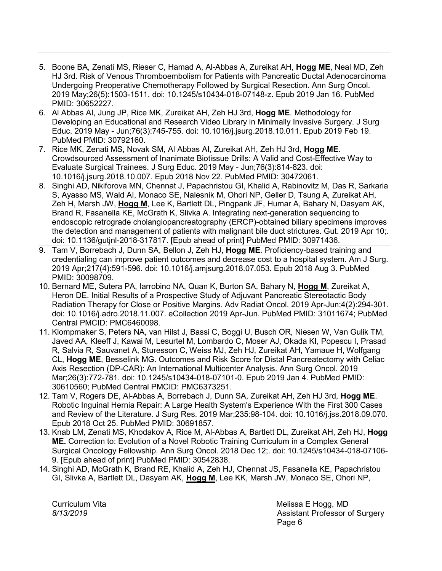- 5. Boone BA, Zenati MS, Rieser C, Hamad A, Al-Abbas A, Zureikat AH, **Hogg ME**, Neal MD, Zeh HJ 3rd. [Risk of Venous Thromboembolism for Patients with Pancreatic Ductal Adenocarcinoma](https://www-ncbi-nlm-nih-gov.proxy.uchicago.edu/pubmed/30652227/)  [Undergoing Preoperative Chemotherapy Followed by Surgical Resection. A](https://www-ncbi-nlm-nih-gov.proxy.uchicago.edu/pubmed/30652227/)nn Surg Oncol. 2019 May;26(5):1503-1511. doi: 10.1245/s10434-018-07148-z. Epub 2019 Jan 16. PubMed PMID: 30652227.
- 6. Al Abbas AI, Jung JP, Rice MK, Zureikat AH, Zeh HJ 3rd, **Hogg ME**. [Methodology for](https://www-ncbi-nlm-nih-gov.proxy.uchicago.edu/pubmed/30792160/)  [Developing an Educational and Research Video Library in Minimally Invasive Surgery. J](https://www-ncbi-nlm-nih-gov.proxy.uchicago.edu/pubmed/30792160/) Surg Educ. 2019 May - Jun;76(3):745-755. doi: 10.1016/j.jsurg.2018.10.011. Epub 2019 Feb 19. PubMed PMID: 30792160.
- 7. Rice MK, Zenati MS, Novak SM, Al Abbas AI, Zureikat AH, Zeh HJ 3rd, **Hogg ME**. [Crowdsourced Assessment of Inanimate Biotissue Drills: A Valid and Cost-Effective Way to](https://www-ncbi-nlm-nih-gov.proxy.uchicago.edu/pubmed/30472061/)  [Evaluate Surgical Trainees. J](https://www-ncbi-nlm-nih-gov.proxy.uchicago.edu/pubmed/30472061/) Surg Educ. 2019 May - Jun;76(3):814-823. doi: 10.1016/j.jsurg.2018.10.007. Epub 2018 Nov 22. PubMed PMID: 30472061.
- 8. Singhi AD, Nikiforova MN, Chennat J, Papachristou GI, Khalid A, Rabinovitz M, Das R, Sarkaria S, Ayasso MS, Wald AI, Monaco SE, Nalesnik M, Ohori NP, Geller D, Tsung A, Zureikat AH, Zeh H, Marsh JW, **Hogg M**, Lee K, Bartlett DL, Pingpank JF, Humar A, Bahary N, Dasyam AK, Brand R, Fasanella KE, McGrath K, Slivka A. [Integrating next-generation sequencing to](https://www-ncbi-nlm-nih-gov.proxy.uchicago.edu/pubmed/30971436/)  [endoscopic retrograde cholangiopancreatography \(ERCP\)-obtained biliary specimens improves](https://www-ncbi-nlm-nih-gov.proxy.uchicago.edu/pubmed/30971436/)  [the detection and management of patients with malignant bile duct strictures. G](https://www-ncbi-nlm-nih-gov.proxy.uchicago.edu/pubmed/30971436/)ut. 2019 Apr 10;. doi: 10.1136/gutjnl-2018-317817. [Epub ahead of print] PubMed PMID: 30971436.
- 9. Tam V, Borrebach J, Dunn SA, Bellon J, Zeh HJ, **Hogg ME**. [Proficiency-based training and](https://www-ncbi-nlm-nih-gov.proxy.uchicago.edu/pubmed/30098709/)  [credentialing can improve patient outcomes and decrease cost to a hospital system. A](https://www-ncbi-nlm-nih-gov.proxy.uchicago.edu/pubmed/30098709/)m J Surg. 2019 Apr;217(4):591-596. doi: 10.1016/j.amjsurg.2018.07.053. Epub 2018 Aug 3. PubMed PMID: 30098709.
- 10. Bernard ME, Sutera PA, Iarrobino NA, Quan K, Burton SA, Bahary N, **Hogg M**, Zureikat A, Heron DE. [Initial Results of a Prospective Study of Adjuvant Pancreatic Stereotactic Body](https://www-ncbi-nlm-nih-gov.proxy.uchicago.edu/pubmed/31011674/)  [Radiation Therapy for Close or Positive Margins. A](https://www-ncbi-nlm-nih-gov.proxy.uchicago.edu/pubmed/31011674/)dv Radiat Oncol. 2019 Apr-Jun;4(2):294-301. doi: 10.1016/j.adro.2018.11.007. eCollection 2019 Apr-Jun. PubMed PMID: 31011674; PubMed Central PMCID: PMC6460098.
- 11. Klompmaker S, Peters NA, van Hilst J, Bassi C, Boggi U, Busch OR, Niesen W, Van Gulik TM, Javed AA, Kleeff J, Kawai M, Lesurtel M, Lombardo C, Moser AJ, Okada KI, Popescu I, Prasad R, Salvia R, Sauvanet A, Sturesson C, Weiss MJ, Zeh HJ, Zureikat AH, Yamaue H, Wolfgang CL, **Hogg ME**, Besselink MG. [Outcomes and Risk Score for Distal Pancreatectomy with Celiac](https://www-ncbi-nlm-nih-gov.proxy.uchicago.edu/pubmed/30610560/)  [Axis Resection \(DP-CAR\): An International Multicenter Analysis. A](https://www-ncbi-nlm-nih-gov.proxy.uchicago.edu/pubmed/30610560/)nn Surg Oncol. 2019 Mar;26(3):772-781. doi: 10.1245/s10434-018-07101-0. Epub 2019 Jan 4. PubMed PMID: 30610560; PubMed Central PMCID: PMC6373251.
- 12. Tam V, Rogers DE, Al-Abbas A, Borrebach J, Dunn SA, Zureikat AH, Zeh HJ 3rd, **Hogg ME**. [Robotic Inguinal Hernia Repair: A Large Health System's Experience With the First 300 Cases](https://www-ncbi-nlm-nih-gov.proxy.uchicago.edu/pubmed/30691857/)  [and Review of the Literature. J](https://www-ncbi-nlm-nih-gov.proxy.uchicago.edu/pubmed/30691857/) Surg Res. 2019 Mar;235:98-104. doi: 10.1016/j.jss.2018.09.070. Epub 2018 Oct 25. PubMed PMID: 30691857.
- 13. Knab LM, Zenati MS, Khodakov A, Rice M, Al-Abbas A, Bartlett DL, Zureikat AH, Zeh HJ, **Hogg ME.** [Correction to: Evolution of a Novel Robotic Training Curriculum in a Complex General](https://www-ncbi-nlm-nih-gov.proxy.uchicago.edu/pubmed/30542838/)  [Surgical Oncology Fellowship. A](https://www-ncbi-nlm-nih-gov.proxy.uchicago.edu/pubmed/30542838/)nn Surg Oncol. 2018 Dec 12;. doi: 10.1245/s10434-018-07106- 9. [Epub ahead of print] PubMed PMID: 30542838.
- 14. Singhi AD, McGrath K, Brand RE, Khalid A, Zeh HJ, Chennat JS, Fasanella KE, Papachristou GI, Slivka A, Bartlett DL, Dasyam AK, **Hogg M**, Lee KK, Marsh JW, Monaco SE, Ohori NP,

Curriculum Vita **Melissa E Hogg, MD** *8/13/2019* Assistant Professor of Surgery e de la construction de la construction de la construction de la construction de la construction de la constru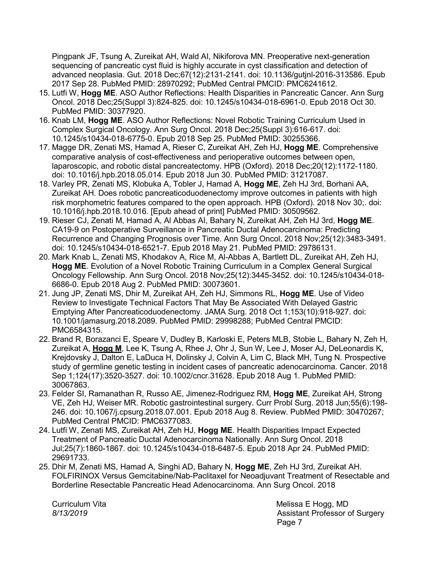Pingpank JF, Tsung A, Zureikat AH, Wald AI, Nikiforova MN. [Preoperative next-generation](https://www-ncbi-nlm-nih-gov.proxy.uchicago.edu/pubmed/28970292/)  [sequencing of pancreatic cyst fluid is highly accurate in cyst classification and detection of](https://www-ncbi-nlm-nih-gov.proxy.uchicago.edu/pubmed/28970292/)  [advanced neoplasia. G](https://www-ncbi-nlm-nih-gov.proxy.uchicago.edu/pubmed/28970292/)ut. 2018 Dec;67(12):2131-2141. doi: 10.1136/gutjnl-2016-313586. Epub 2017 Sep 28. PubMed PMID: 28970292; PubMed Central PMCID: PMC6241612.

- 15. Lutfi W, **Hogg ME**. [ASO Author Reflections: Health Disparities in Pancreatic Cancer. A](https://www-ncbi-nlm-nih-gov.proxy.uchicago.edu/pubmed/30377920/)nn Surg Oncol. 2018 Dec;25(Suppl 3):824-825. doi: 10.1245/s10434-018-6961-0. Epub 2018 Oct 30. PubMed PMID: 30377920.
- 16. Knab LM, **Hogg ME**. [ASO Author Reflections: Novel Robotic Training Curriculum Used in](https://www-ncbi-nlm-nih-gov.proxy.uchicago.edu/pubmed/30255366/)  [Complex Surgical Oncology. A](https://www-ncbi-nlm-nih-gov.proxy.uchicago.edu/pubmed/30255366/)nn Surg Oncol. 2018 Dec;25(Suppl 3):616-617. doi: 10.1245/s10434-018-6775-0. Epub 2018 Sep 25. PubMed PMID: 30255366.
- 17. Magge DR, Zenati MS, Hamad A, Rieser C, Zureikat AH, Zeh HJ, **Hogg ME**. [Comprehensive](https://www-ncbi-nlm-nih-gov.proxy.uchicago.edu/pubmed/31217087/)  [comparative analysis of cost-effectiveness and perioperative outcomes between open,](https://www-ncbi-nlm-nih-gov.proxy.uchicago.edu/pubmed/31217087/)  [laparoscopic, and robotic distal pancreatectomy. H](https://www-ncbi-nlm-nih-gov.proxy.uchicago.edu/pubmed/31217087/)PB (Oxford). 2018 Dec;20(12):1172-1180. doi: 10.1016/j.hpb.2018.05.014. Epub 2018 Jun 30. PubMed PMID: 31217087.
- 18. Varley PR, Zenati MS, Klobuka A, Tobler J, Hamad A, **Hogg ME**, Zeh HJ 3rd, Borhani AA, Zureikat AH. [Does robotic pancreaticoduodenectomy improve outcomes in patients with high](https://www-ncbi-nlm-nih-gov.proxy.uchicago.edu/pubmed/30509562/)  [risk morphometric features compared to the open approach. H](https://www-ncbi-nlm-nih-gov.proxy.uchicago.edu/pubmed/30509562/)PB (Oxford). 2018 Nov 30;. doi: 10.1016/j.hpb.2018.10.016. [Epub ahead of print] PubMed PMID: 30509562.
- 19. Rieser CJ, Zenati M, Hamad A, Al Abbas AI, Bahary N, Zureikat AH, Zeh HJ 3rd, **Hogg ME**. [CA19-9 on Postoperative Surveillance in Pancreatic Ductal Adenocarcinoma: Predicting](https://www-ncbi-nlm-nih-gov.proxy.uchicago.edu/pubmed/29786131/)  [Recurrence and Changing Prognosis over Time. A](https://www-ncbi-nlm-nih-gov.proxy.uchicago.edu/pubmed/29786131/)nn Surg Oncol. 2018 Nov;25(12):3483-3491. doi: 10.1245/s10434-018-6521-7. Epub 2018 May 21. PubMed PMID: 29786131.
- 20. Mark Knab L, Zenati MS, Khodakov A, Rice M, Al-Abbas A, Bartlett DL, Zureikat AH, Zeh HJ, **Hogg ME**. [Evolution of a Novel Robotic Training Curriculum in a Complex General Surgical](https://www-ncbi-nlm-nih-gov.proxy.uchicago.edu/pubmed/30073601/)  [Oncology Fellowship. A](https://www-ncbi-nlm-nih-gov.proxy.uchicago.edu/pubmed/30073601/)nn Surg Oncol. 2018 Nov;25(12):3445-3452. doi: 10.1245/s10434-018- 6686-0. Epub 2018 Aug 2. PubMed PMID: 30073601.
- 21. Jung JP, Zenati MS, Dhir M, Zureikat AH, Zeh HJ, Simmons RL, **Hogg ME**. [Use of Video](https://www-ncbi-nlm-nih-gov.proxy.uchicago.edu/pubmed/29998288/)  [Review to Investigate Technical Factors That May Be Associated With Delayed Gastric](https://www-ncbi-nlm-nih-gov.proxy.uchicago.edu/pubmed/29998288/)  [Emptying After Pancreaticoduodenectomy. J](https://www-ncbi-nlm-nih-gov.proxy.uchicago.edu/pubmed/29998288/)AMA Surg. 2018 Oct 1;153(10):918-927. doi: 10.1001/jamasurg.2018.2089. PubMed PMID: 29998288; PubMed Central PMCID: PMC6584315.
- 22. Brand R, Borazanci E, Speare V, Dudley B, Karloski E, Peters MLB, Stobie L, Bahary N, Zeh H, Zureikat A, **Hogg M**, Lee K, Tsung A, Rhee J, Ohr J, Sun W, Lee J, Moser AJ, DeLeonardis K, Krejdovsky J, Dalton E, LaDuca H, Dolinsky J, Colvin A, Lim C, Black MH, Tung N. [Prospective](https://www-ncbi-nlm-nih-gov.proxy.uchicago.edu/pubmed/30067863/)  [study of germline genetic testing in incident cases of pancreatic adenocarcinoma. C](https://www-ncbi-nlm-nih-gov.proxy.uchicago.edu/pubmed/30067863/)ancer. 2018 Sep 1;124(17):3520-3527. doi: 10.1002/cncr.31628. Epub 2018 Aug 1. PubMed PMID: 30067863.
- 23. Felder SI, Ramanathan R, Russo AE, Jimenez-Rodriguez RM, **Hogg ME**, Zureikat AH, Strong VE, Zeh HJ, Weiser MR. [Robotic gastrointestinal surgery. C](https://www-ncbi-nlm-nih-gov.proxy.uchicago.edu/pubmed/30470267/)urr Probl Surg. 2018 Jun;55(6):198- 246. doi: 10.1067/j.cpsurg.2018.07.001. Epub 2018 Aug 8. Review. PubMed PMID: 30470267; PubMed Central PMCID: PMC6377083.
- 24. Lutfi W, Zenati MS, Zureikat AH, Zeh HJ, **Hogg ME**. [Health Disparities Impact Expected](https://www-ncbi-nlm-nih-gov.proxy.uchicago.edu/pubmed/29691733/)  [Treatment of Pancreatic Ductal Adenocarcinoma Nationally. A](https://www-ncbi-nlm-nih-gov.proxy.uchicago.edu/pubmed/29691733/)nn Surg Oncol. 2018 Jul;25(7):1860-1867. doi: 10.1245/s10434-018-6487-5. Epub 2018 Apr 24. PubMed PMID: 29691733.
- 25. Dhir M, Zenati MS, Hamad A, Singhi AD, Bahary N, **Hogg ME**, Zeh HJ 3rd, Zureikat AH. [FOLFIRINOX Versus Gemcitabine/Nab-Paclitaxel for Neoadjuvant Treatment of Resectable and](https://www-ncbi-nlm-nih-gov.proxy.uchicago.edu/pubmed/29761331/)  [Borderline Resectable Pancreatic Head Adenocarcinoma. A](https://www-ncbi-nlm-nih-gov.proxy.uchicago.edu/pubmed/29761331/)nn Surg Oncol. 2018

Curriculum Vita **Melissa E Hogg, MD** *8/13/2019* Assistant Professor of Surgery Page 7 (1999) and the contract of the contract of the Page 7 (1999) and the contract of the contract of the contract of the contract of the contract of the contract of the contract of the contract of the contract of the co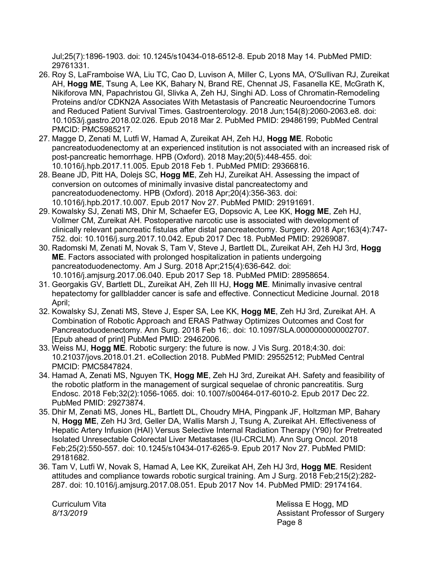Jul;25(7):1896-1903. doi: 10.1245/s10434-018-6512-8. Epub 2018 May 14. PubMed PMID: 29761331.

- 26. Roy S, LaFramboise WA, Liu TC, Cao D, Luvison A, Miller C, Lyons MA, O'Sullivan RJ, Zureikat AH, **Hogg ME**, Tsung A, Lee KK, Bahary N, Brand RE, Chennat JS, Fasanella KE, McGrath K, Nikiforova MN, Papachristou GI, Slivka A, Zeh HJ, Singhi AD. [Loss of Chromatin-Remodeling](https://www-ncbi-nlm-nih-gov.proxy.uchicago.edu/pubmed/29486199/)  [Proteins and/or CDKN2A Associates With Metastasis of Pancreatic Neuroendocrine Tumors](https://www-ncbi-nlm-nih-gov.proxy.uchicago.edu/pubmed/29486199/)  [and Reduced Patient Survival Times. G](https://www-ncbi-nlm-nih-gov.proxy.uchicago.edu/pubmed/29486199/)astroenterology. 2018 Jun;154(8):2060-2063.e8. doi: 10.1053/j.gastro.2018.02.026. Epub 2018 Mar 2. PubMed PMID: 29486199; PubMed Central PMCID: PMC5985217.
- 27. Magge D, Zenati M, Lutfi W, Hamad A, Zureikat AH, Zeh HJ, **Hogg ME**. [Robotic](https://www-ncbi-nlm-nih-gov.proxy.uchicago.edu/pubmed/29366816/)  [pancreatoduodenectomy at an experienced institution is not associated with an increased risk of](https://www-ncbi-nlm-nih-gov.proxy.uchicago.edu/pubmed/29366816/)  [post-pancreatic hemorrhage. H](https://www-ncbi-nlm-nih-gov.proxy.uchicago.edu/pubmed/29366816/)PB (Oxford). 2018 May;20(5):448-455. doi: 10.1016/j.hpb.2017.11.005. Epub 2018 Feb 1. PubMed PMID: 29366816.
- 28. Beane JD, Pitt HA, Dolejs SC, **Hogg ME**, Zeh HJ, Zureikat AH. [Assessing the impact of](https://www-ncbi-nlm-nih-gov.proxy.uchicago.edu/pubmed/29191691/)  [conversion on outcomes of minimally invasive distal pancreatectomy and](https://www-ncbi-nlm-nih-gov.proxy.uchicago.edu/pubmed/29191691/)  [pancreatoduodenectomy. H](https://www-ncbi-nlm-nih-gov.proxy.uchicago.edu/pubmed/29191691/)PB (Oxford). 2018 Apr;20(4):356-363. doi: 10.1016/j.hpb.2017.10.007. Epub 2017 Nov 27. PubMed PMID: 29191691.
- 29. Kowalsky SJ, Zenati MS, Dhir M, Schaefer EG, Dopsovic A, Lee KK, **Hogg ME**, Zeh HJ, Vollmer CM, Zureikat AH. [Postoperative narcotic use is associated with development of](https://www-ncbi-nlm-nih-gov.proxy.uchicago.edu/pubmed/29269087/)  [clinically relevant pancreatic fistulas after distal pancreatectomy. S](https://www-ncbi-nlm-nih-gov.proxy.uchicago.edu/pubmed/29269087/)urgery. 2018 Apr;163(4):747- 752. doi: 10.1016/j.surg.2017.10.042. Epub 2017 Dec 18. PubMed PMID: 29269087.
- 30. Radomski M, Zenati M, Novak S, Tam V, Steve J, Bartlett DL, Zureikat AH, Zeh HJ 3rd, **Hogg ME**. [Factors associated with prolonged hospitalization in patients undergoing](https://www-ncbi-nlm-nih-gov.proxy.uchicago.edu/pubmed/28958654/)  [pancreatoduodenectomy. A](https://www-ncbi-nlm-nih-gov.proxy.uchicago.edu/pubmed/28958654/)m J Surg. 2018 Apr;215(4):636-642. doi: 10.1016/j.amjsurg.2017.06.040. Epub 2017 Sep 18. PubMed PMID: 28958654.
- 31. Georgakis GV, Bartlett DL, Zureikat AH, Zeh III HJ, **Hogg ME**. Minimally invasive central hepatectomy for gallbladder cancer is safe and effective. Connecticut Medicine Journal. 2018 April;
- 32. Kowalsky SJ, Zenati MS, Steve J, Esper SA, Lee KK, **Hogg ME**, Zeh HJ 3rd, Zureikat AH. [A](https://www-ncbi-nlm-nih-gov.proxy.uchicago.edu/pubmed/29462006/)  [Combination of Robotic Approach and ERAS Pathway Optimizes Outcomes and Cost for](https://www-ncbi-nlm-nih-gov.proxy.uchicago.edu/pubmed/29462006/)  [Pancreatoduodenectomy. A](https://www-ncbi-nlm-nih-gov.proxy.uchicago.edu/pubmed/29462006/)nn Surg. 2018 Feb 16;. doi: 10.1097/SLA.0000000000002707. [Epub ahead of print] PubMed PMID: 29462006.
- 33. Weiss MJ, **Hogg ME**. [Robotic surgery: the future is now. J](https://www-ncbi-nlm-nih-gov.proxy.uchicago.edu/pubmed/29552512/) Vis Surg. 2018;4:30. doi: 10.21037/jovs.2018.01.21. eCollection 2018. PubMed PMID: 29552512; PubMed Central PMCID: PMC5847824.
- 34. Hamad A, Zenati MS, Nguyen TK, **Hogg ME**, Zeh HJ 3rd, Zureikat AH. [Safety and feasibility of](https://www-ncbi-nlm-nih-gov.proxy.uchicago.edu/pubmed/29273874/)  [the robotic platform in the management of surgical sequelae of chronic pancreatitis.](https://www-ncbi-nlm-nih-gov.proxy.uchicago.edu/pubmed/29273874/) Surg Endosc. 2018 Feb;32(2):1056-1065. doi: 10.1007/s00464-017-6010-2. Epub 2017 Dec 22. PubMed PMID: 29273874.
- 35. Dhir M, Zenati MS, Jones HL, Bartlett DL, Choudry MHA, Pingpank JF, Holtzman MP, Bahary N, **Hogg ME**, Zeh HJ 3rd, Geller DA, Wallis Marsh J, Tsung A, Zureikat AH. [Effectiveness of](https://www-ncbi-nlm-nih-gov.proxy.uchicago.edu/pubmed/29181682/)  [Hepatic Artery Infusion \(HAI\) Versus Selective Internal Radiation Therapy \(Y90\) for Pretreated](https://www-ncbi-nlm-nih-gov.proxy.uchicago.edu/pubmed/29181682/)  [Isolated Unresectable Colorectal Liver Metastases \(IU-CRCLM\). A](https://www-ncbi-nlm-nih-gov.proxy.uchicago.edu/pubmed/29181682/)nn Surg Oncol. 2018 Feb;25(2):550-557. doi: 10.1245/s10434-017-6265-9. Epub 2017 Nov 27. PubMed PMID: 29181682.
- 36. Tam V, Lutfi W, Novak S, Hamad A, Lee KK, Zureikat AH, Zeh HJ 3rd, **Hogg ME**. [Resident](https://www-ncbi-nlm-nih-gov.proxy.uchicago.edu/pubmed/29174164/)  [attitudes and compliance towards robotic surgical training. A](https://www-ncbi-nlm-nih-gov.proxy.uchicago.edu/pubmed/29174164/)m J Surg. 2018 Feb;215(2):282- 287. doi: 10.1016/j.amjsurg.2017.08.051. Epub 2017 Nov 14. PubMed PMID: 29174164.

Curriculum Vita **Melissa E Hogg, MD** *8/13/2019* Assistant Professor of Surgery e de la provincia de la provincia de la provincia de la provincia de la provincia de la provincia de la provinci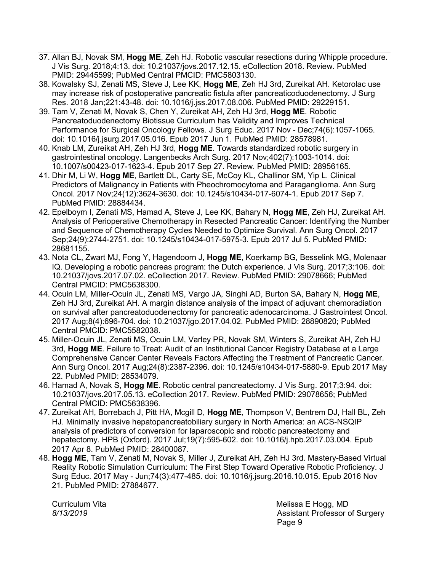- 37. Allan BJ, Novak SM, **Hogg ME**, Zeh HJ. [Robotic vascular resections during Whipple procedure.](https://www-ncbi-nlm-nih-gov.proxy.uchicago.edu/pubmed/29445599/)  J Vis Surg. 2018;4:13. doi: 10.21037/jovs.2017.12.15. eCollection 2018. Review. PubMed PMID: 29445599; PubMed Central PMCID: PMC5803130.
- 38. Kowalsky SJ, Zenati MS, Steve J, Lee KK, **Hogg ME**, Zeh HJ 3rd, Zureikat AH. [Ketorolac use](https://www-ncbi-nlm-nih-gov.proxy.uchicago.edu/pubmed/29229151/)  [may increase risk of postoperative pancreatic fistula after pancreaticoduodenectomy. J](https://www-ncbi-nlm-nih-gov.proxy.uchicago.edu/pubmed/29229151/) Surg Res. 2018 Jan;221:43-48. doi: 10.1016/j.jss.2017.08.006. PubMed PMID: 29229151.
- 39. Tam V, Zenati M, Novak S, Chen Y, Zureikat AH, Zeh HJ 3rd, **Hogg ME**. [Robotic](https://www-ncbi-nlm-nih-gov.proxy.uchicago.edu/pubmed/28578981/)  [Pancreatoduodenectomy Biotissue Curriculum has Validity and Improves Technical](https://www-ncbi-nlm-nih-gov.proxy.uchicago.edu/pubmed/28578981/)  [Performance for Surgical Oncology Fellows. J](https://www-ncbi-nlm-nih-gov.proxy.uchicago.edu/pubmed/28578981/) Surg Educ. 2017 Nov - Dec;74(6):1057-1065. doi: 10.1016/j.jsurg.2017.05.016. Epub 2017 Jun 1. PubMed PMID: 28578981.
- 40. Knab LM, Zureikat AH, Zeh HJ 3rd, **Hogg ME**. [Towards standardized robotic surgery in](https://www-ncbi-nlm-nih-gov.proxy.uchicago.edu/pubmed/28956165/)  [gastrointestinal oncology. L](https://www-ncbi-nlm-nih-gov.proxy.uchicago.edu/pubmed/28956165/)angenbecks Arch Surg. 2017 Nov;402(7):1003-1014. doi: 10.1007/s00423-017-1623-4. Epub 2017 Sep 27. Review. PubMed PMID: 28956165.
- 41. Dhir M, Li W, **Hogg ME**, Bartlett DL, Carty SE, McCoy KL, Challinor SM, Yip L. [Clinical](https://www-ncbi-nlm-nih-gov.proxy.uchicago.edu/pubmed/28884434/)  [Predictors of Malignancy in Patients with Pheochromocytoma and Paraganglioma. A](https://www-ncbi-nlm-nih-gov.proxy.uchicago.edu/pubmed/28884434/)nn Surg Oncol. 2017 Nov;24(12):3624-3630. doi: 10.1245/s10434-017-6074-1. Epub 2017 Sep 7. PubMed PMID: 28884434.
- 42. Epelboym I, Zenati MS, Hamad A, Steve J, Lee KK, Bahary N, **Hogg ME**, Zeh HJ, Zureikat AH. [Analysis of Perioperative Chemotherapy in Resected Pancreatic Cancer: Identifying the Number](https://www-ncbi-nlm-nih-gov.proxy.uchicago.edu/pubmed/28681155/)  [and Sequence of Chemotherapy Cycles Needed to Optimize Survival. A](https://www-ncbi-nlm-nih-gov.proxy.uchicago.edu/pubmed/28681155/)nn Surg Oncol. 2017 Sep;24(9):2744-2751. doi: 10.1245/s10434-017-5975-3. Epub 2017 Jul 5. PubMed PMID: 28681155.
- 43. Nota CL, Zwart MJ, Fong Y, Hagendoorn J, **Hogg ME**, Koerkamp BG, Besselink MG, Molenaar IQ. [Developing a robotic pancreas program: the Dutch experience. J](https://www-ncbi-nlm-nih-gov.proxy.uchicago.edu/pubmed/29078666/) Vis Surg. 2017;3:106. doi: 10.21037/jovs.2017.07.02. eCollection 2017. Review. PubMed PMID: 29078666; PubMed Central PMCID: PMC5638300.
- 44. Ocuin LM, Miller-Ocuin JL, Zenati MS, Vargo JA, Singhi AD, Burton SA, Bahary N, **Hogg ME**, Zeh HJ 3rd, Zureikat AH. [A margin distance analysis of the impact of adjuvant chemoradiation](https://www-ncbi-nlm-nih-gov.proxy.uchicago.edu/pubmed/28890820/)  [on survival after pancreatoduodenectomy for pancreatic adenocarcinoma. J](https://www-ncbi-nlm-nih-gov.proxy.uchicago.edu/pubmed/28890820/) Gastrointest Oncol. 2017 Aug;8(4):696-704. doi: 10.21037/jgo.2017.04.02. PubMed PMID: 28890820; PubMed Central PMCID: PMC5582038.
- 45. Miller-Ocuin JL, Zenati MS, Ocuin LM, Varley PR, Novak SM, Winters S, Zureikat AH, Zeh HJ 3rd, **Hogg ME**. [Failure to Treat: Audit of an Institutional Cancer Registry Database at a Large](https://www-ncbi-nlm-nih-gov.proxy.uchicago.edu/pubmed/28534079/)  Comprehensive [Cancer Center Reveals Factors Affecting the Treatment of Pancreatic Cancer.](https://www-ncbi-nlm-nih-gov.proxy.uchicago.edu/pubmed/28534079/)  Ann Surg Oncol. 2017 Aug;24(8):2387-2396. doi: 10.1245/s10434-017-5880-9. Epub 2017 May 22. PubMed PMID: 28534079.
- 46. Hamad A, Novak S, **Hogg ME**. [Robotic central pancreatectomy. J](https://www-ncbi-nlm-nih-gov.proxy.uchicago.edu/pubmed/29078656/) Vis Surg. 2017;3:94. doi: 10.21037/jovs.2017.05.13. eCollection 2017. Review. PubMed PMID: 29078656; PubMed Central PMCID: PMC5638396.
- 47. Zureikat AH, Borrebach J, Pitt HA, Mcgill D, **Hogg ME**, Thompson V, Bentrem DJ, Hall BL, Zeh HJ. [Minimally invasive hepatopancreatobiliary surgery in North America: an ACS-NSQIP](https://www-ncbi-nlm-nih-gov.proxy.uchicago.edu/pubmed/28400087/)  analysis of predictors of conversion for [laparoscopic and robotic pancreatectomy and](https://www-ncbi-nlm-nih-gov.proxy.uchicago.edu/pubmed/28400087/)  [hepatectomy. H](https://www-ncbi-nlm-nih-gov.proxy.uchicago.edu/pubmed/28400087/)PB (Oxford). 2017 Jul;19(7):595-602. doi: 10.1016/j.hpb.2017.03.004. Epub 2017 Apr 8. PubMed PMID: 28400087.
- 48. **Hogg ME**, Tam V, Zenati M, Novak S, Miller J, Zureikat AH, Zeh HJ 3rd. [Mastery-Based Virtual](https://www-ncbi-nlm-nih-gov.proxy.uchicago.edu/pubmed/27884677/)  [Reality Robotic Simulation Curriculum: The First Step Toward Operative Robotic Proficiency. J](https://www-ncbi-nlm-nih-gov.proxy.uchicago.edu/pubmed/27884677/) Surg Educ. 2017 May - Jun;74(3):477-485. doi: 10.1016/j.jsurg.2016.10.015. Epub 2016 Nov 21. PubMed PMID: 27884677.

Curriculum Vita **Melissa E Hogg, MD** *8/13/2019* Assistant Professor of Surgery e de la provincia de la provincia de la provincia de la provincia de la provincia de la provincia de la provincia d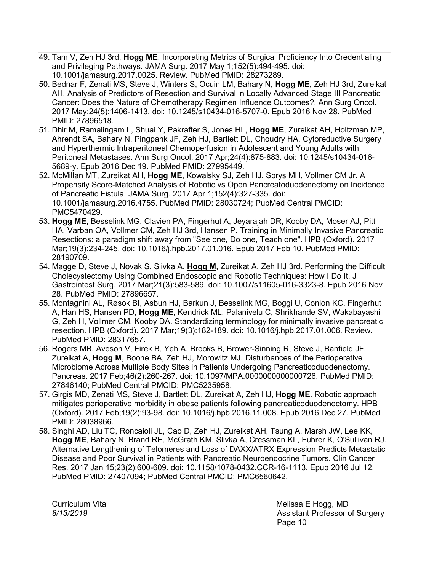- 49. Tam V, Zeh HJ 3rd, **Hogg ME**. [Incorporating Metrics of Surgical Proficiency Into Credentialing](https://www-ncbi-nlm-nih-gov.proxy.uchicago.edu/pubmed/28273289/)  [and Privileging Pathways. J](https://www-ncbi-nlm-nih-gov.proxy.uchicago.edu/pubmed/28273289/)AMA Surg. 2017 May 1;152(5):494-495. doi: 10.1001/jamasurg.2017.0025. Review. PubMed PMID: 28273289.
- 50. Bednar F, Zenati MS, Steve J, Winters S, Ocuin LM, Bahary N, **Hogg ME**, Zeh HJ 3rd, Zureikat AH. [Analysis of Predictors of Resection and Survival in Locally Advanced Stage III Pancreatic](https://www-ncbi-nlm-nih-gov.proxy.uchicago.edu/pubmed/27896518/)  [Cancer: Does the Nature of Chemotherapy Regimen Influence Outcomes?. A](https://www-ncbi-nlm-nih-gov.proxy.uchicago.edu/pubmed/27896518/)nn Surg Oncol. 2017 May;24(5):1406-1413. doi: 10.1245/s10434-016-5707-0. Epub 2016 Nov 28. PubMed PMID: 27896518.
- 51. Dhir M, Ramalingam L, Shuai Y, Pakrafter S, Jones HL, **Hogg ME**, Zureikat AH, Holtzman MP, Ahrendt SA, Bahary N, Pingpank JF, Zeh HJ, Bartlett DL, Choudry HA. [Cytoreductive Surgery](https://www-ncbi-nlm-nih-gov.proxy.uchicago.edu/pubmed/27995449/)  [and Hyperthermic Intraperitoneal Chemoperfusion in Adolescent and Young Adults with](https://www-ncbi-nlm-nih-gov.proxy.uchicago.edu/pubmed/27995449/)  [Peritoneal Metastases. A](https://www-ncbi-nlm-nih-gov.proxy.uchicago.edu/pubmed/27995449/)nn Surg Oncol. 2017 Apr;24(4):875-883. doi: 10.1245/s10434-016- 5689-y. Epub 2016 Dec 19. PubMed PMID: 27995449.
- 52. McMillan MT, Zureikat AH, **Hogg ME**, Kowalsky SJ, Zeh HJ, Sprys MH, Vollmer CM Jr. [A](https://www-ncbi-nlm-nih-gov.proxy.uchicago.edu/pubmed/28030724/)  [Propensity Score-Matched Analysis of Robotic vs Open Pancreatoduodenectomy on Incidence](https://www-ncbi-nlm-nih-gov.proxy.uchicago.edu/pubmed/28030724/)  [of Pancreatic Fistula. J](https://www-ncbi-nlm-nih-gov.proxy.uchicago.edu/pubmed/28030724/)AMA Surg. 2017 Apr 1;152(4):327-335. doi: 10.1001/jamasurg.2016.4755. PubMed PMID: 28030724; PubMed Central PMCID: PMC5470429.
- 53. **Hogg ME**, Besselink MG, Clavien PA, Fingerhut A, Jeyarajah DR, Kooby DA, Moser AJ, Pitt HA, Varban OA, Vollmer CM, Zeh HJ 3rd, Hansen P. [Training in Minimally Invasive Pancreatic](https://www-ncbi-nlm-nih-gov.proxy.uchicago.edu/pubmed/28190709/)  Resections: [a paradigm shift away from "See one, Do one, Teach one". H](https://www-ncbi-nlm-nih-gov.proxy.uchicago.edu/pubmed/28190709/)PB (Oxford). 2017 Mar;19(3):234-245. doi: 10.1016/j.hpb.2017.01.016. Epub 2017 Feb 10. PubMed PMID: 28190709.
- 54. Magge D, Steve J, Novak S, Slivka A, **Hogg M**, Zureikat A, Zeh HJ 3rd. [Performing the Difficult](https://www-ncbi-nlm-nih-gov.proxy.uchicago.edu/pubmed/27896657/)  [Cholecystectomy Using Combined Endoscopic and Robotic Techniques: How I Do It. J](https://www-ncbi-nlm-nih-gov.proxy.uchicago.edu/pubmed/27896657/) Gastrointest Surg. 2017 Mar;21(3):583-589. doi: 10.1007/s11605-016-3323-8. Epub 2016 Nov 28. PubMed PMID: 27896657.
- 55. Montagnini AL, Røsok BI, Asbun HJ, Barkun J, Besselink MG, Boggi U, Conlon KC, Fingerhut A, Han HS, Hansen PD, **Hogg ME**, Kendrick ML, Palanivelu C, Shrikhande SV, Wakabayashi G, Zeh H, Vollmer CM, Kooby DA. [Standardizing terminology for minimally invasive pancreatic](https://www-ncbi-nlm-nih-gov.proxy.uchicago.edu/pubmed/28317657/)  [resection. H](https://www-ncbi-nlm-nih-gov.proxy.uchicago.edu/pubmed/28317657/)PB (Oxford). 2017 Mar;19(3):182-189. doi: 10.1016/j.hpb.2017.01.006. Review. PubMed PMID: 28317657.
- 56. Rogers MB, Aveson V, Firek B, Yeh A, Brooks B, Brower-Sinning R, Steve J, Banfield JF, Zureikat A, **Hogg M**, Boone BA, Zeh HJ, Morowitz MJ. [Disturbances of the Perioperative](https://www-ncbi-nlm-nih-gov.proxy.uchicago.edu/pubmed/27846140/)  [Microbiome Across Multiple Body Sites in Patients Undergoing Pancreaticoduodenectomy.](https://www-ncbi-nlm-nih-gov.proxy.uchicago.edu/pubmed/27846140/)  Pancreas. 2017 Feb;46(2):260-267. doi: 10.1097/MPA.0000000000000726. PubMed PMID: 27846140; PubMed Central PMCID: PMC5235958.
- 57. Girgis MD, Zenati MS, Steve J, Bartlett DL, Zureikat A, Zeh HJ, **Hogg ME**. [Robotic approach](https://www-ncbi-nlm-nih-gov.proxy.uchicago.edu/pubmed/28038966/)  [mitigates perioperative morbidity in obese patients following pancreaticoduodenectomy. H](https://www-ncbi-nlm-nih-gov.proxy.uchicago.edu/pubmed/28038966/)PB (Oxford). 2017 Feb;19(2):93-98. doi: 10.1016/j.hpb.2016.11.008. Epub 2016 Dec 27. PubMed PMID: 28038966.
- 58. Singhi AD, Liu TC, Roncaioli JL, Cao D, Zeh HJ, Zureikat AH, Tsung A, Marsh JW, Lee KK, **Hogg ME**, Bahary N, Brand RE, McGrath KM, Slivka A, Cressman KL, Fuhrer K, O'Sullivan RJ. [Alternative Lengthening of Telomeres and Loss of DAXX/ATRX Expression Predicts Metastatic](https://www-ncbi-nlm-nih-gov.proxy.uchicago.edu/pubmed/27407094/)  [Disease and Poor Survival in Patients with Pancreatic Neuroendocrine Tumors. C](https://www-ncbi-nlm-nih-gov.proxy.uchicago.edu/pubmed/27407094/)lin Cancer Res. 2017 Jan 15;23(2):600-609. doi: 10.1158/1078-0432.CCR-16-1113. Epub 2016 Jul 12. PubMed PMID: 27407094; PubMed Central PMCID: PMC6560642.

Curriculum Vita **Melissa E Hogg, MD** *8/13/2019* Assistant Professor of Surgery e de la construction de la construction de la construction de la construction de la construction de la constru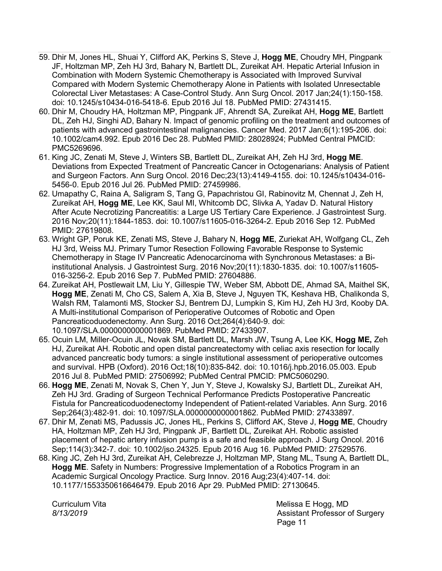- 59. Dhir M, Jones HL, Shuai Y, Clifford AK, Perkins S, Steve J, **Hogg ME**, Choudry MH, Pingpank JF, Holtzman MP, Zeh HJ 3rd, Bahary N, Bartlett DL, Zureikat AH. [Hepatic Arterial Infusion in](https://www-ncbi-nlm-nih-gov.proxy.uchicago.edu/pubmed/27431415/)  [Combination with Modern Systemic Chemotherapy is Associated with Improved Survival](https://www-ncbi-nlm-nih-gov.proxy.uchicago.edu/pubmed/27431415/)  [Compared with Modern Systemic Chemotherapy Alone in Patients with Isolated Unresectable](https://www-ncbi-nlm-nih-gov.proxy.uchicago.edu/pubmed/27431415/)  [Colorectal Liver Metastases: A Case-Control Study. A](https://www-ncbi-nlm-nih-gov.proxy.uchicago.edu/pubmed/27431415/)nn Surg Oncol. 2017 Jan;24(1):150-158. doi: 10.1245/s10434-016-5418-6. Epub 2016 Jul 18. PubMed PMID: 27431415.
- 60. Dhir M, Choudry HA, Holtzman MP, Pingpank JF, Ahrendt SA, Zureikat AH, **Hogg ME**, Bartlett DL, Zeh HJ, Singhi AD, Bahary N. [Impact of genomic profiling on the treatment and outcomes of](https://www-ncbi-nlm-nih-gov.proxy.uchicago.edu/pubmed/28028924/)  [patients with advanced gastrointestinal malignancies. C](https://www-ncbi-nlm-nih-gov.proxy.uchicago.edu/pubmed/28028924/)ancer Med. 2017 Jan;6(1):195-206. doi: 10.1002/cam4.992. Epub 2016 Dec 28. PubMed PMID: 28028924; PubMed Central PMCID: PMC5269696.
- 61. King JC, Zenati M, Steve J, Winters SB, Bartlett DL, Zureikat AH, Zeh HJ 3rd, **Hogg ME**. [Deviations from Expected Treatment of Pancreatic Cancer in Octogenarians: Analysis of Patient](https://www-ncbi-nlm-nih-gov.proxy.uchicago.edu/pubmed/27459986/)  [and Surgeon Factors. A](https://www-ncbi-nlm-nih-gov.proxy.uchicago.edu/pubmed/27459986/)nn Surg Oncol. 2016 Dec;23(13):4149-4155. doi: 10.1245/s10434-016- 5456-0. Epub 2016 Jul 26. PubMed PMID: 27459986.
- 62. Umapathy C, Raina A, Saligram S, Tang G, Papachristou GI, Rabinovitz M, Chennat J, Zeh H, Zureikat AH, **Hogg ME**, Lee KK, Saul MI, Whitcomb DC, Slivka A, Yadav D. [Natural History](https://www-ncbi-nlm-nih-gov.proxy.uchicago.edu/pubmed/27619808/)  [After Acute Necrotizing Pancreatitis: a Large US Tertiary Care Experience. J](https://www-ncbi-nlm-nih-gov.proxy.uchicago.edu/pubmed/27619808/) Gastrointest Surg. 2016 Nov;20(11):1844-1853. doi: 10.1007/s11605-016-3264-2. Epub 2016 Sep 12. PubMed PMID: 27619808.
- 63. Wright GP, Poruk KE, Zenati MS, Steve J, Bahary N, **Hogg ME**, Zuriekat AH, Wolfgang CL, Zeh HJ 3rd, Weiss MJ. [Primary Tumor Resection Following Favorable Response to Systemic](https://www-ncbi-nlm-nih-gov.proxy.uchicago.edu/pubmed/27604886/)  [Chemotherapy in Stage IV Pancreatic Adenocarcinoma with Synchronous Metastases: a Bi](https://www-ncbi-nlm-nih-gov.proxy.uchicago.edu/pubmed/27604886/)[institutional Analysis. J](https://www-ncbi-nlm-nih-gov.proxy.uchicago.edu/pubmed/27604886/) Gastrointest Surg. 2016 Nov;20(11):1830-1835. doi: 10.1007/s11605- 016-3256-2. Epub 2016 Sep 7. PubMed PMID: 27604886.
- 64. Zureikat AH, Postlewait LM, Liu Y, Gillespie TW, Weber SM, Abbott DE, Ahmad SA, Maithel SK, **Hogg ME**, Zenati M, Cho CS, Salem A, Xia B, Steve J, Nguyen TK, Keshava HB, Chalikonda S, Walsh RM, Talamonti MS, Stocker SJ, Bentrem DJ, Lumpkin S, Kim HJ, Zeh HJ 3rd, Kooby DA. [A Multi-institutional Comparison of Perioperative Outcomes of Robotic and Open](https://www-ncbi-nlm-nih-gov.proxy.uchicago.edu/pubmed/27433907/)  [Pancreaticoduodenectomy. A](https://www-ncbi-nlm-nih-gov.proxy.uchicago.edu/pubmed/27433907/)nn Surg. 2016 Oct;264(4):640-9. doi: 10.1097/SLA.0000000000001869. PubMed PMID: 27433907.
- 65. Ocuin LM, Miller-Ocuin JL, Novak SM, Bartlett DL, Marsh JW, Tsung A, Lee KK, **Hogg ME,** Zeh HJ, Zureikat AH. [Robotic and open distal pancreatectomy with celiac axis resection for locally](https://www-ncbi-nlm-nih-gov.proxy.uchicago.edu/pubmed/27506992/)  [advanced pancreatic body tumors: a single institutional assessment of perioperative outcomes](https://www-ncbi-nlm-nih-gov.proxy.uchicago.edu/pubmed/27506992/)  [and survival. H](https://www-ncbi-nlm-nih-gov.proxy.uchicago.edu/pubmed/27506992/)PB (Oxford). 2016 Oct;18(10):835-842. doi: 10.1016/j.hpb.2016.05.003. Epub 2016 Jul 8. PubMed PMID: 27506992; PubMed Central PMCID: PMC5060290.
- 66. **Hogg ME**, Zenati M, Novak S, Chen Y, Jun Y, Steve J, Kowalsky SJ, Bartlett DL, Zureikat AH, Zeh HJ 3rd. [Grading of Surgeon Technical Performance Predicts Postoperative Pancreatic](https://www-ncbi-nlm-nih-gov.proxy.uchicago.edu/pubmed/27433897/)  [Fistula for Pancreaticoduodenectomy Independent of Patient-related Variables. A](https://www-ncbi-nlm-nih-gov.proxy.uchicago.edu/pubmed/27433897/)nn Surg. 2016 Sep;264(3):482-91. doi: 10.1097/SLA.0000000000001862. PubMed PMID: 27433897.
- 67. Dhir M, Zenati MS, Padussis JC, Jones HL, Perkins S, Clifford AK, Steve J, **Hogg ME**, Choudry HA, Holtzman MP, Zeh HJ 3rd, Pingpank JF, Bartlett DL, Zureikat AH. [Robotic assisted](https://www-ncbi-nlm-nih-gov.proxy.uchicago.edu/pubmed/27529576/)  [placement of hepatic artery infusion pump is a safe and feasible approach. J](https://www-ncbi-nlm-nih-gov.proxy.uchicago.edu/pubmed/27529576/) Surg Oncol. 2016 Sep;114(3):342-7. doi: 10.1002/jso.24325. Epub 2016 Aug 16. PubMed PMID: 27529576.
- 68. King JC, Zeh HJ 3rd, Zureikat AH, Celebrezze J, Holtzman MP, Stang ML, Tsung A, Bartlett DL, **Hogg ME**. [Safety in Numbers: Progressive Implementation of a Robotics Program in an](https://www-ncbi-nlm-nih-gov.proxy.uchicago.edu/pubmed/27130645/)  [Academic Surgical Oncology Practice. S](https://www-ncbi-nlm-nih-gov.proxy.uchicago.edu/pubmed/27130645/)urg Innov. 2016 Aug;23(4):407-14. doi: 10.1177/1553350616646479. Epub 2016 Apr 29. PubMed PMID: 27130645.

Curriculum Vita **Melissa E Hogg, MD** *8/13/2019* Assistant Professor of Surgery Page 11 Page 11 Page 11 Page 11 Page 11 Page 11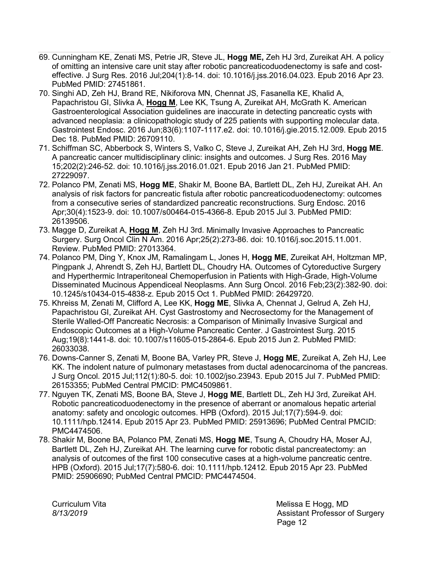- 69. Cunningham KE, Zenati MS, Petrie JR, Steve JL, **Hogg ME,** Zeh HJ 3rd, Zureikat AH. [A policy](https://www-ncbi-nlm-nih-gov.proxy.uchicago.edu/pubmed/27451861/)  [of omitting an intensive care unit stay after robotic pancreaticoduodenectomy is safe](https://www-ncbi-nlm-nih-gov.proxy.uchicago.edu/pubmed/27451861/) and cost[effective. J](https://www-ncbi-nlm-nih-gov.proxy.uchicago.edu/pubmed/27451861/) Surg Res. 2016 Jul;204(1):8-14. doi: 10.1016/j.jss.2016.04.023. Epub 2016 Apr 23. PubMed PMID: 27451861.
- 70. Singhi AD, Zeh HJ, Brand RE, Nikiforova MN, Chennat JS, Fasanella KE, Khalid A, Papachristou GI, Slivka A, **Hogg M**, Lee KK, Tsung A, Zureikat AH, McGrath K. [American](https://www-ncbi-nlm-nih-gov.proxy.uchicago.edu/pubmed/26709110/)  [Gastroenterological Association guidelines are inaccurate in detecting pancreatic cysts with](https://www-ncbi-nlm-nih-gov.proxy.uchicago.edu/pubmed/26709110/)  [advanced neoplasia: a clinicopathologic study of 225 patients with supporting molecular data.](https://www-ncbi-nlm-nih-gov.proxy.uchicago.edu/pubmed/26709110/)  Gastrointest Endosc. 2016 Jun;83(6):1107-1117.e2. doi: 10.1016/j.gie.2015.12.009. Epub 2015 Dec 18. PubMed PMID: 26709110.
- 71. Schiffman SC, Abberbock S, Winters S, Valko C, Steve J, Zureikat AH, Zeh HJ 3rd, **Hogg ME**. [A pancreatic cancer multidisciplinary clinic: insights and outcomes. J](https://www-ncbi-nlm-nih-gov.proxy.uchicago.edu/pubmed/27229097/) Surg Res. 2016 May 15;202(2):246-52. doi: 10.1016/j.jss.2016.01.021. Epub 2016 Jan 21. PubMed PMID: 27229097.
- 72. Polanco PM, Zenati MS, **Hogg ME**, Shakir M, Boone BA, Bartlett DL, Zeh HJ, Zureikat AH. [An](https://www-ncbi-nlm-nih-gov.proxy.uchicago.edu/pubmed/26139506/)  [analysis of risk factors for pancreatic fistula after robotic pancreaticoduodenectomy: outcomes](https://www-ncbi-nlm-nih-gov.proxy.uchicago.edu/pubmed/26139506/)  [from a consecutive series of standardized pancreatic reconstructions. S](https://www-ncbi-nlm-nih-gov.proxy.uchicago.edu/pubmed/26139506/)urg Endosc. 2016 Apr;30(4):1523-9. doi: 10.1007/s00464-015-4366-8. Epub 2015 Jul 3. PubMed PMID: 26139506.
- 73. Magge D, Zureikat A, **Hogg M**, Zeh HJ 3rd. [Minimally Invasive Approaches to Pancreatic](https://www-ncbi-nlm-nih-gov.proxy.uchicago.edu/pubmed/27013364/)  [Surgery. S](https://www-ncbi-nlm-nih-gov.proxy.uchicago.edu/pubmed/27013364/)urg Oncol Clin N Am. 2016 Apr;25(2):273-86. doi: 10.1016/j.soc.2015.11.001. Review. PubMed PMID: 27013364.
- 74. Polanco PM, Ding Y, Knox JM, Ramalingam L, Jones H, **Hogg ME**, Zureikat AH, Holtzman MP, Pingpank J, Ahrendt S, Zeh HJ, Bartlett DL, Choudry HA. [Outcomes of Cytoreductive Surgery](https://www-ncbi-nlm-nih-gov.proxy.uchicago.edu/pubmed/26429720/)  [and Hyperthermic Intraperitoneal Chemoperfusion in Patients with High-Grade, High-Volume](https://www-ncbi-nlm-nih-gov.proxy.uchicago.edu/pubmed/26429720/)  [Disseminated Mucinous Appendiceal Neoplasms. A](https://www-ncbi-nlm-nih-gov.proxy.uchicago.edu/pubmed/26429720/)nn Surg Oncol. 2016 Feb;23(2):382-90. doi: 10.1245/s10434-015-4838-z. Epub 2015 Oct 1. PubMed PMID: 26429720.
- 75. Khreiss M, Zenati M, Clifford A, Lee KK, **Hogg ME**, Slivka A, Chennat J, Gelrud A, Zeh HJ, Papachristou GI, Zureikat AH. [Cyst Gastrostomy and Necrosectomy for the Management of](https://www-ncbi-nlm-nih-gov.proxy.uchicago.edu/pubmed/26033038/)  Sterile [Walled-Off Pancreatic Necrosis: a Comparison of Minimally Invasive Surgical and](https://www-ncbi-nlm-nih-gov.proxy.uchicago.edu/pubmed/26033038/)  [Endoscopic Outcomes at a High-Volume Pancreatic Center. J](https://www-ncbi-nlm-nih-gov.proxy.uchicago.edu/pubmed/26033038/) Gastrointest Surg. 2015 Aug;19(8):1441-8. doi: 10.1007/s11605-015-2864-6. Epub 2015 Jun 2. PubMed PMID: 26033038.
- 76. Downs-Canner S, Zenati M, Boone BA, Varley PR, Steve J, **Hogg ME**, Zureikat A, Zeh HJ, Lee KK. [The indolent nature of pulmonary metastases from ductal adenocarcinoma of the pancreas.](https://www-ncbi-nlm-nih-gov.proxy.uchicago.edu/pubmed/26153355/)  J Surg Oncol. 2015 Jul;112(1):80-5. doi: 10.1002/jso.23943. Epub 2015 Jul 7. PubMed PMID: 26153355; PubMed Central PMCID: PMC4509861.
- 77. Nguyen TK, Zenati MS, Boone BA, Steve J, **Hogg ME**, Bartlett DL, Zeh HJ 3rd, Zureikat AH. [Robotic pancreaticoduodenectomy in the presence of aberrant or anomalous hepatic arterial](https://www-ncbi-nlm-nih-gov.proxy.uchicago.edu/pubmed/25913696/)  [anatomy: safety and oncologic outcomes. H](https://www-ncbi-nlm-nih-gov.proxy.uchicago.edu/pubmed/25913696/)PB (Oxford). 2015 Jul;17(7):594-9. doi: 10.1111/hpb.12414. Epub 2015 Apr 23. PubMed PMID: 25913696; PubMed Central PMCID: PMC4474506.
- 78. Shakir M, Boone BA, Polanco PM, Zenati MS, **Hogg ME**, Tsung A, Choudry HA, Moser AJ, Bartlett DL, Zeh HJ, Zureikat AH. [The learning curve for robotic distal pancreatectomy: an](https://www-ncbi-nlm-nih-gov.proxy.uchicago.edu/pubmed/25906690/)  [analysis of outcomes of the first 100 consecutive cases at a high-volume pancreatic centre.](https://www-ncbi-nlm-nih-gov.proxy.uchicago.edu/pubmed/25906690/)  HPB (Oxford). 2015 Jul;17(7):580-6. doi: 10.1111/hpb.12412. Epub 2015 Apr 23. PubMed PMID: 25906690; PubMed Central PMCID: PMC4474504.

Curriculum Vita **Melissa E Hogg, MD** *8/13/2019* Assistant Professor of Surgery Page 12 and the contract of the contract of the Page 12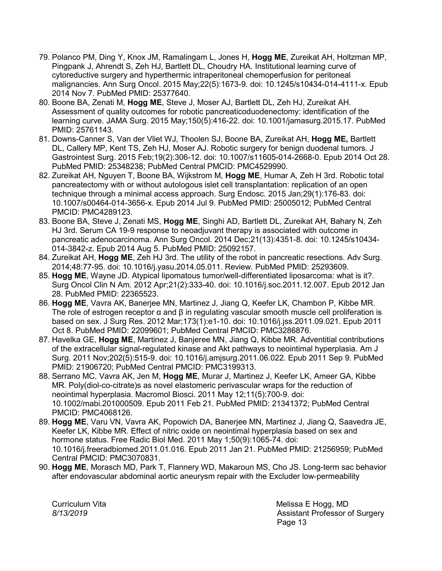- 79. Polanco PM, Ding Y, Knox JM, Ramalingam L, Jones H, **Hogg ME**, Zureikat AH, Holtzman MP, Pingpank J, Ahrendt S, Zeh HJ, Bartlett DL, Choudry HA. [Institutional learning curve of](https://www-ncbi-nlm-nih-gov.proxy.uchicago.edu/pubmed/25377640/)  [cytoreductive surgery and hyperthermic intraperitoneal chemoperfusion for peritoneal](https://www-ncbi-nlm-nih-gov.proxy.uchicago.edu/pubmed/25377640/)  [malignancies. A](https://www-ncbi-nlm-nih-gov.proxy.uchicago.edu/pubmed/25377640/)nn Surg Oncol. 2015 May;22(5):1673-9. doi: 10.1245/s10434-014-4111-x. Epub 2014 Nov 7. PubMed PMID: 25377640.
- 80. Boone BA, Zenati M, **Hogg ME**, Steve J, Moser AJ, Bartlett DL, Zeh HJ, Zureikat AH. Assessment of quality outcomes [for robotic pancreaticoduodenectomy: identification of the](https://www-ncbi-nlm-nih-gov.proxy.uchicago.edu/pubmed/25761143/)  [learning curve. J](https://www-ncbi-nlm-nih-gov.proxy.uchicago.edu/pubmed/25761143/)AMA Surg. 2015 May;150(5):416-22. doi: 10.1001/jamasurg.2015.17. PubMed PMID: 25761143.
- 81. Downs-Canner S, Van der Vliet WJ, Thoolen SJ, Boone BA, Zureikat AH, **Hogg ME,** Bartlett DL, Callery MP, Kent TS, Zeh HJ, Moser AJ. [Robotic surgery for benign duodenal tumors. J](https://www-ncbi-nlm-nih-gov.proxy.uchicago.edu/pubmed/25348238/) Gastrointest Surg. 2015 Feb;19(2):306-12. doi: 10.1007/s11605-014-2668-0. Epub 2014 Oct 28. PubMed PMID: 25348238; PubMed Central PMCID: PMC4529990.
- 82. Zureikat AH, Nguyen T, Boone BA, Wijkstrom M, **Hogg ME**, Humar A, Zeh H 3rd. [Robotic total](https://www-ncbi-nlm-nih-gov.proxy.uchicago.edu/pubmed/25005012/)  [pancreatectomy with or without autologous islet cell transplantation: replication of an open](https://www-ncbi-nlm-nih-gov.proxy.uchicago.edu/pubmed/25005012/)  [technique through a minimal access approach. S](https://www-ncbi-nlm-nih-gov.proxy.uchicago.edu/pubmed/25005012/)urg Endosc. 2015 Jan;29(1):176-83. doi: 10.1007/s00464-014-3656-x. Epub 2014 Jul 9. PubMed PMID: 25005012; PubMed Central PMCID: PMC4289123.
- 83. Boone BA, Steve J, Zenati MS, **Hogg ME**, Singhi AD, Bartlett DL, Zureikat AH, Bahary N, Zeh HJ 3rd. [Serum CA 19-9 response to neoadjuvant therapy is associated with outcome in](https://www-ncbi-nlm-nih-gov.proxy.uchicago.edu/pubmed/25092157/)  [pancreatic adenocarcinoma. A](https://www-ncbi-nlm-nih-gov.proxy.uchicago.edu/pubmed/25092157/)nn Surg Oncol. 2014 Dec;21(13):4351-8. doi: 10.1245/s10434- 014-3842-z. Epub 2014 Aug 5. PubMed PMID: 25092157.
- 84. Zureikat AH, **Hogg ME**, Zeh HJ 3rd. [The utility of the robot in pancreatic resections. A](https://www-ncbi-nlm-nih-gov.proxy.uchicago.edu/pubmed/25293609/)dv Surg. 2014;48:77-95. doi: 10.1016/j.yasu.2014.05.011. Review. PubMed PMID: 25293609.
- 85. **Hogg ME**, Wayne JD. [Atypical lipomatous tumor/well-differentiated liposarcoma: what is it?.](https://www-ncbi-nlm-nih-gov.proxy.uchicago.edu/pubmed/22365523/)  Surg Oncol Clin N Am. 2012 Apr;21(2):333-40. doi: 10.1016/j.soc.2011.12.007. Epub 2012 Jan 28. PubMed PMID: 22365523.
- 86. **Hogg ME**, Vavra AK, Banerjee MN, Martinez J, Jiang Q, Keefer LK, Chambon P, Kibbe MR. The role of estrogen receptor  $\alpha$  and  $\beta$  in regulating vascular smooth muscle cell proliferation is [based on sex. J](https://www-ncbi-nlm-nih-gov.proxy.uchicago.edu/pubmed/22099601/) Surg Res. 2012 Mar;173(1):e1-10. doi: 10.1016/j.jss.2011.09.021. Epub 2011 Oct 8. PubMed PMID: 22099601; PubMed Central PMCID: PMC3286876.
- 87. Havelka GE, **Hogg ME**, Martinez J, Banjeree MN, Jiang Q, Kibbe MR. [Adventitial contributions](https://www-ncbi-nlm-nih-gov.proxy.uchicago.edu/pubmed/21906720/)  [of the extracellular signal-regulated kinase and Akt pathways to neointimal hyperplasia. A](https://www-ncbi-nlm-nih-gov.proxy.uchicago.edu/pubmed/21906720/)m J Surg. 2011 Nov;202(5):515-9. doi: 10.1016/j.amjsurg.2011.06.022. Epub 2011 Sep 9. PubMed PMID: 21906720; PubMed Central PMCID: PMC3199313.
- 88. Serrano MC, Vavra AK, Jen M, **Hogg ME**, Murar J, Martinez J, Keefer LK, Ameer GA, Kibbe MR. [Poly\(diol-co-citrate\)s as novel elastomeric perivascular wraps for the reduction of](https://www-ncbi-nlm-nih-gov.proxy.uchicago.edu/pubmed/21341372/)  [neointimal hyperplasia. M](https://www-ncbi-nlm-nih-gov.proxy.uchicago.edu/pubmed/21341372/)acromol Biosci. 2011 May 12;11(5):700-9. doi: 10.1002/mabi.201000509. Epub 2011 Feb 21. PubMed PMID: 21341372; PubMed Central PMCID: PMC4068126.
- 89. **Hogg ME**, Varu VN, Vavra AK, Popowich DA, Banerjee MN, Martinez J, Jiang Q, Saavedra JE, Keefer LK, Kibbe MR. [Effect of nitric oxide on neointimal hyperplasia based on sex and](https://www-ncbi-nlm-nih-gov.proxy.uchicago.edu/pubmed/21256959/)  [hormone status. F](https://www-ncbi-nlm-nih-gov.proxy.uchicago.edu/pubmed/21256959/)ree Radic Biol Med. 2011 May 1;50(9):1065-74. doi: 10.1016/j.freeradbiomed.2011.01.016. Epub 2011 Jan 21. PubMed PMID: 21256959; PubMed Central PMCID: PMC3070831.
- 90. **Hogg ME**, Morasch MD, Park T, Flannery WD, Makaroun MS, Cho JS. [Long-term sac behavior](https://www-ncbi-nlm-nih-gov.proxy.uchicago.edu/pubmed/21276679/)  [after endovascular abdominal aortic aneurysm repair with the Excluder low-permeability](https://www-ncbi-nlm-nih-gov.proxy.uchicago.edu/pubmed/21276679/)

Curriculum Vita **Melissa E Hogg, MD** *8/13/2019* Assistant Professor of Surgery Page 13 and the contract of the contract of the Page 13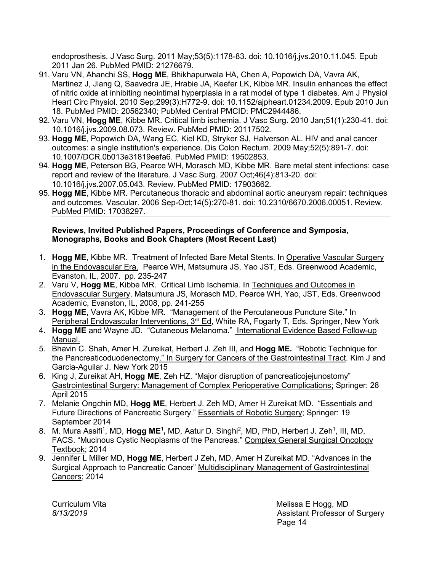[endoprosthesis. J](https://www-ncbi-nlm-nih-gov.proxy.uchicago.edu/pubmed/21276679/) Vasc Surg. 2011 May;53(5):1178-83. doi: 10.1016/j.jvs.2010.11.045. Epub 2011 Jan 26. PubMed PMID: 21276679.

- 91. Varu VN, Ahanchi SS, **Hogg ME**, Bhikhapurwala HA, Chen A, Popowich DA, Vavra AK, Martinez J, Jiang Q, Saavedra JE, Hrabie JA, Keefer LK, Kibbe MR. [Insulin enhances the effect](https://www-ncbi-nlm-nih-gov.proxy.uchicago.edu/pubmed/20562340/)  [of nitric oxide at inhibiting neointimal hyperplasia in a rat](https://www-ncbi-nlm-nih-gov.proxy.uchicago.edu/pubmed/20562340/) model of type 1 diabetes. Am J Physiol Heart Circ Physiol. 2010 Sep;299(3):H772-9. doi: 10.1152/ajpheart.01234.2009. Epub 2010 Jun 18. PubMed PMID: 20562340; PubMed Central PMCID: PMC2944486.
- 92. Varu VN, **Hogg ME**, Kibbe MR. [Critical limb ischemia. J](https://www-ncbi-nlm-nih-gov.proxy.uchicago.edu/pubmed/20117502/) Vasc Surg. 2010 Jan;51(1):230-41. doi: 10.1016/j.jvs.2009.08.073. Review. PubMed PMID: 20117502.
- 93. **Hogg ME**, Popowich DA, Wang EC, Kiel KD, Stryker SJ, Halverson AL. [HIV and anal cancer](https://www-ncbi-nlm-nih-gov.proxy.uchicago.edu/pubmed/19502853/)  [outcomes: a single institution's experience. D](https://www-ncbi-nlm-nih-gov.proxy.uchicago.edu/pubmed/19502853/)is Colon Rectum. 2009 May;52(5):891-7. doi: 10.1007/DCR.0b013e31819eefa6. PubMed PMID: 19502853.
- 94. **Hogg ME**, Peterson BG, Pearce WH, Morasch MD, Kibbe MR. [Bare metal stent infections: case](https://www-ncbi-nlm-nih-gov.proxy.uchicago.edu/pubmed/17903662/)  [report and review of the literature. J](https://www-ncbi-nlm-nih-gov.proxy.uchicago.edu/pubmed/17903662/) Vasc Surg. 2007 Oct;46(4):813-20. doi: 10.1016/j.jvs.2007.05.043. Review. PubMed PMID: 17903662.
- 95. **Hogg ME**, Kibbe MR. [Percutaneous thoracic and abdominal aortic aneurysm repair: techniques](https://www-ncbi-nlm-nih-gov.proxy.uchicago.edu/pubmed/17038297/)  [and outcomes. V](https://www-ncbi-nlm-nih-gov.proxy.uchicago.edu/pubmed/17038297/)ascular. 2006 Sep-Oct;14(5):270-81. doi: 10.2310/6670.2006.00051. Review. PubMed PMID: 17038297.

### **Reviews, Invited Published Papers, Proceedings of Conference and Symposia, Monographs, Books and Book Chapters (Most Recent Last)**

- 1. **Hogg ME**, Kibbe MR. Treatment of Infected Bare Metal Stents. In Operative Vascular Surgery in the Endovascular Era. Pearce WH, Matsumura JS, Yao JST, Eds. Greenwood Academic, Evanston, IL, 2007. pp. 235-247
- 2. Varu V, **Hogg ME**, Kibbe MR. Critical Limb Ischemia. In Techniques and Outcomes in Endovascular Surgery, Matsumura JS, Morasch MD, Pearce WH, Yao, JST, Eds. Greenwood Academic, Evanston, IL, 2008, pp. 241-255
- 3. **Hogg ME,** Vavra AK, Kibbe MR. "Management of the Percutaneous Puncture Site." In Peripheral Endovascular Interventions, 3<sup>rd</sup> Ed, White RA, Fogarty T, Eds. Springer, New York
- 4. **Hogg ME** and Wayne JD. "Cutaneous Melanoma." International Evidence Based Follow-up Manual.
- 5. Bhavin C. Shah, Amer H. Zureikat, Herbert J. Zeh III, and **Hogg ME.** "Robotic Technique for the Pancreaticoduodenectomy." In Surgery for Cancers of the Gastrointestinal Tract. Kim J and Garcia-Aguilar J. New York 2015
- 6. King J, Zureikat AH, **Hogg ME**, Zeh HZ. "Major disruption of pancreaticojejunostomy" Gastrointestinal Surgery: Management of Complex Perioperative Complications; Springer: 28 April 2015
- 7. Melanie Ongchin MD, **Hogg ME**, Herbert J. Zeh MD, Amer H Zureikat MD. "Essentials and Future Directions of Pancreatic Surgery." Essentials of Robotic Surgery; Springer: 19 September 2014
- 8. M. Mura Assifi<sup>1</sup>, MD, **Hogg ME<sup>1</sup>,** MD, Aatur D. Singhi<sup>2</sup>, MD, PhD, Herbert J. Zeh<sup>1</sup>, III, MD, FACS. "Mucinous Cystic Neoplasms of the Pancreas." Complex General Surgical Oncology Textbook; 2014
- 9. Jennifer L Miller MD, **Hogg ME**, Herbert J Zeh, MD, Amer H Zureikat MD. "Advances in the Surgical Approach to Pancreatic Cancer" Multidisciplinary Management of Gastrointestinal Cancers; 2014

Curriculum Vita **Melissa E Hogg, MD** *8/13/2019* Assistant Professor of Surgery e de la contradición de la contradición de la contradición de la contradición de la contradición de la contradición de la contradición de la contradición de la contradición de la contradición de la contradición de la contr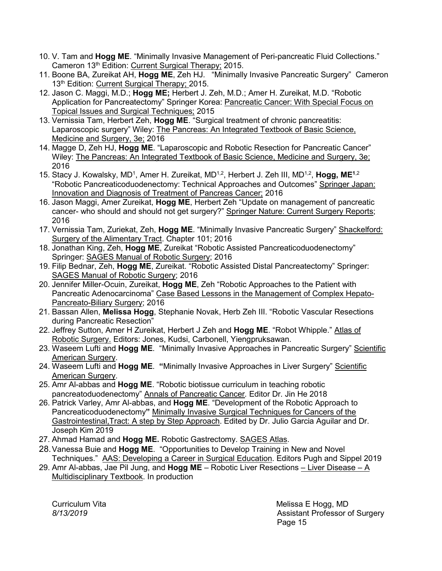- 10. V. Tam and **Hogg ME**. "Minimally Invasive Management of Peri-pancreatic Fluid Collections." Cameron 13th Edition: Current Surgical Therapy; 2015.
- 11. Boone BA, Zureikat AH, **Hogg ME**, Zeh HJ. "Minimally Invasive Pancreatic Surgery" Cameron 13<sup>th</sup> Edition: Current Surgical Therapy; 2015.
- 12. Jason C. Maggi, M.D.; **Hogg ME;** Herbert J. Zeh, M.D.; Amer H. Zureikat, M.D. "Robotic Application for Pancreatectomy" Springer Korea: Pancreatic Cancer: With Special Focus on Topical Issues and Surgical Techniques; 2015
- 13. Vernissia Tam, Herbert Zeh, **Hogg ME**. "Surgical treatment of chronic pancreatitis: Laparoscopic surgery" Wiley: The Pancreas: An Integrated Textbook of Basic Science, Medicine and Surgery, 3e; 2016
- 14. Magge D, Zeh HJ, **Hogg ME**. "Laparoscopic and Robotic Resection for Pancreatic Cancer" Wiley: The Pancreas: An Integrated Textbook of Basic Science, Medicine and Surgery, 3e; 2016
- 15. Stacy J. Kowalsky, MD<sup>1</sup>, Amer H. Zureikat, MD<sup>1,2</sup>, Herbert J. Zeh III, MD<sup>1,2</sup>, **Hogg, ME**<sup>1,2</sup> "Robotic Pancreaticoduodenectomy: Technical Approaches and Outcomes" Springer Japan: Innovation and Diagnosis of Treatment of Pancreas Cancer; 2016
- 16. Jason Maggi, Amer Zureikat, **Hogg ME**, Herbert Zeh "Update on management of pancreatic cancer- who should and should not get surgery?" Springer Nature: Current Surgery Reports; 2016
- 17. Vernissia Tam, Zuriekat, Zeh, **Hogg ME**. "Minimally Invasive Pancreatic Surgery" Shackelford: Surgery of the Alimentary Tract. Chapter 101; 2016
- 18. Jonathan King, Zeh, **Hogg ME**, Zureikat "Robotic Assisted Pancreaticoduodenectomy" Springer: SAGES Manual of Robotic Surgery; 2016
- 19. Filip Bednar, Zeh, **Hogg ME**, Zureikat. "Robotic Assisted Distal Pancreatectomy" Springer: SAGES Manual of Robotic Surgery; 2016
- 20. Jennifer Miller-Ocuin, Zureikat, **Hogg ME**, Zeh "Robotic Approaches to the Patient with Pancreatic Adenocarcinoma" Case Based Lessons in the Management of Complex Hepato-Pancreato-Biliary Surgery; 2016
- 21. Bassan Allen, **Melissa Hogg**, Stephanie Novak, Herb Zeh III. "Robotic Vascular Resections during Pancreatic Resection"
- 22. Jeffrey Sutton, Amer H Zureikat, Herbert J Zeh and **Hogg ME**. "Robot Whipple." Atlas of Robotic Surgery. Editors: Jones, Kudsi, Carbonell, Yiengpruksawan.
- 23. Waseem Lufti and **Hogg ME**. "Minimally Invasive Approaches in Pancreatic Surgery" Scientific American Surgery.
- 24. Waseem Lufti and Hogg ME. "Minimally Invasive Approaches in Liver Surgery" Scientific American Surgery.
- 25. Amr Al-abbas and **Hogg ME**. "Robotic biotissue curriculum in teaching robotic pancreatoduodenectomy" Annals of Pancreatic Cancer*.* Editor Dr. Jin He 2018
- 26. Patrick Varley, Amr Al-abbas, and **Hogg ME**. "Development of the Robotic Approach to Pancreaticoduodenectomy**"** Minimally Invasive Surgical Techniques for Cancers of the Gastrointestinal,Tract: A step by Step Approach. Edited by Dr. Julio Garcia Aguilar and Dr. Joseph Kim 2019
- 27. Ahmad Hamad and **Hogg ME.** Robotic Gastrectomy. SAGES Atlas.
- 28.Vanessa Buie and **Hogg ME**. "Opportunities to Develop Training in New and Novel Techniques." AAS: Developing a Career in Surgical Education. Editors Pugh and Sippel 2019
- 29. Amr Al-abbas, Jae Pil Jung, and **Hogg ME** Robotic Liver Resections Liver Disease A Multidisciplinary Textbook. In production

Curriculum Vita **Melissa E Hogg, MD** *8/13/2019* Assistant Professor of Surgery e de la provincia de la provincia de la provincia de la provincia de la provincia de la provincia de la provinci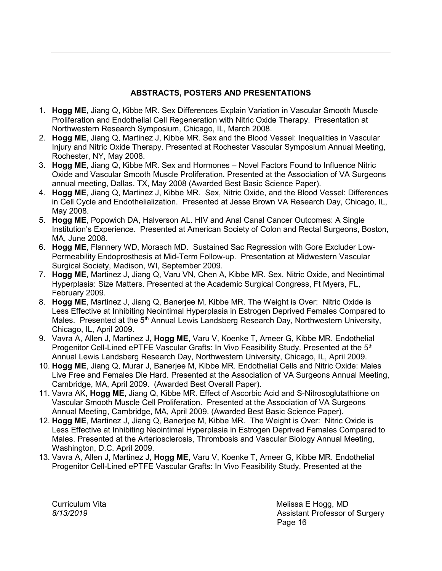## **ABSTRACTS, POSTERS AND PRESENTATIONS**

- 1. **Hogg ME**, Jiang Q, Kibbe MR. Sex Differences Explain Variation in Vascular Smooth Muscle Proliferation and Endothelial Cell Regeneration with Nitric Oxide Therapy. Presentation at Northwestern Research Symposium, Chicago, IL, March 2008.
- 2. **Hogg ME**, Jiang Q, Martinez J, Kibbe MR. Sex and the Blood Vessel: Inequalities in Vascular Injury and Nitric Oxide Therapy. Presented at Rochester Vascular Symposium Annual Meeting, Rochester, NY, May 2008.
- 3. **Hogg ME**, Jiang Q, Kibbe MR. Sex and Hormones Novel Factors Found to Influence Nitric Oxide and Vascular Smooth Muscle Proliferation. Presented at the Association of VA Surgeons annual meeting, Dallas, TX, May 2008 (Awarded Best Basic Science Paper).
- 4. **Hogg ME**, Jiang Q, Martinez J, Kibbe MR. Sex, Nitric Oxide, and the Blood Vessel: Differences in Cell Cycle and Endothelialization. Presented at Jesse Brown VA Research Day, Chicago, IL, May 2008.
- 5. **Hogg ME**, Popowich DA, Halverson AL. HIV and Anal Canal Cancer Outcomes: A Single Institution's Experience. Presented at American Society of Colon and Rectal Surgeons, Boston, MA, June 2008.
- 6. **Hogg ME**, Flannery WD, Morasch MD. Sustained Sac Regression with Gore Excluder Low-Permeability Endoprosthesis at Mid-Term Follow-up. Presentation at Midwestern Vascular Surgical Society, Madison, WI, September 2009.
- 7. **Hogg ME**, Martinez J, Jiang Q, Varu VN, Chen A, Kibbe MR. Sex, Nitric Oxide, and Neointimal Hyperplasia: Size Matters. Presented at the Academic Surgical Congress, Ft Myers, FL, February 2009.
- 8. **Hogg ME**, Martinez J, Jiang Q, Banerjee M, Kibbe MR. The Weight is Over: Nitric Oxide is Less Effective at Inhibiting Neointimal Hyperplasia in Estrogen Deprived Females Compared to Males. Presented at the 5<sup>th</sup> Annual Lewis Landsberg Research Day, Northwestern University, Chicago, IL, April 2009.
- 9. Vavra A, Allen J, Martinez J, **Hogg ME**, Varu V, Koenke T, Ameer G, Kibbe MR. Endothelial Progenitor Cell-Lined ePTFE Vascular Grafts: In Vivo Feasibility Study. Presented at the 5<sup>th</sup> Annual Lewis Landsberg Research Day, Northwestern University, Chicago, IL, April 2009.
- 10. **Hogg ME**, Jiang Q, Murar J, Banerjee M, Kibbe MR. Endothelial Cells and Nitric Oxide: Males Live Free and Females Die Hard. Presented at the Association of VA Surgeons Annual Meeting, Cambridge, MA, April 2009. (Awarded Best Overall Paper).
- 11. Vavra AK, **Hogg ME**, Jiang Q, Kibbe MR. Effect of Ascorbic Acid and S-Nitrosoglutathione on Vascular Smooth Muscle Cell Proliferation. Presented at the Association of VA Surgeons Annual Meeting, Cambridge, MA, April 2009. (Awarded Best Basic Science Paper).
- 12. **Hogg ME**, Martinez J, Jiang Q, Banerjee M, Kibbe MR. The Weight is Over: Nitric Oxide is Less Effective at Inhibiting Neointimal Hyperplasia in Estrogen Deprived Females Compared to Males. Presented at the Arteriosclerosis, Thrombosis and Vascular Biology Annual Meeting, Washington, D.C. April 2009.
- 13. Vavra A, Allen J, Martinez J, **Hogg ME**, Varu V, Koenke T, Ameer G, Kibbe MR. Endothelial Progenitor Cell-Lined ePTFE Vascular Grafts: In Vivo Feasibility Study, Presented at the

Curriculum Vita **Melissa E Hogg, MD** *8/13/2019* Assistant Professor of Surgery e de la provincia de la provincia de la provincia de la provincia de la provincia de la provincia de la provinci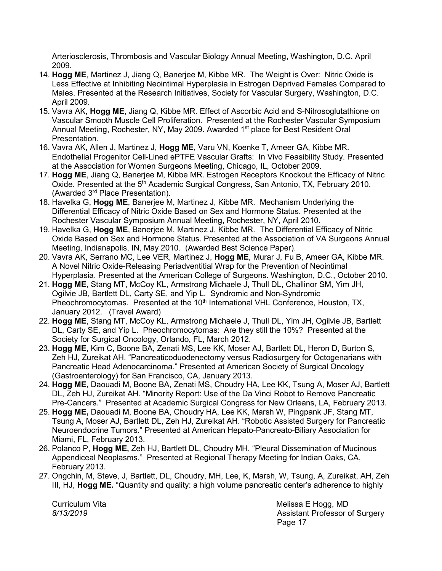Arteriosclerosis, Thrombosis and Vascular Biology Annual Meeting, Washington, D.C. April 2009.

- 14. **Hogg ME**, Martinez J, Jiang Q, Banerjee M, Kibbe MR. The Weight is Over: Nitric Oxide is Less Effective at Inhibiting Neointimal Hyperplasia in Estrogen Deprived Females Compared to Males. Presented at the Research Initiatives, Society for Vascular Surgery, Washington, D.C. April 2009.
- 15. Vavra AK, **Hogg ME**, Jiang Q, Kibbe MR. Effect of Ascorbic Acid and S-Nitrosoglutathione on Vascular Smooth Muscle Cell Proliferation. Presented at the Rochester Vascular Symposium Annual Meeting, Rochester, NY, May 2009. Awarded 1<sup>st</sup> place for Best Resident Oral Presentation.
- 16. Vavra AK, Allen J, Martinez J, **Hogg ME**, Varu VN, Koenke T, Ameer GA, Kibbe MR. Endothelial Progenitor Cell-Lined ePTFE Vascular Grafts: In Vivo Feasibility Study. Presented at the Association for Women Surgeons Meeting, Chicago, IL, October 2009.
- 17. **Hogg ME**, Jiang Q, Banerjee M, Kibbe MR. Estrogen Receptors Knockout the Efficacy of Nitric Oxide. Presented at the 5<sup>th</sup> Academic Surgical Congress, San Antonio, TX, February 2010. (Awarded 3rd Place Presentation).
- 18. Havelka G, **Hogg ME**, Banerjee M, Martinez J, Kibbe MR. Mechanism Underlying the Differential Efficacy of Nitric Oxide Based on Sex and Hormone Status. Presented at the Rochester Vascular Symposium Annual Meeting, Rochester, NY, April 2010.
- 19. Havelka G, **Hogg ME**, Banerjee M, Martinez J, Kibbe MR. The Differential Efficacy of Nitric Oxide Based on Sex and Hormone Status. Presented at the Association of VA Surgeons Annual Meeting, Indianapolis, IN, May 2010. (Awarded Best Science Paper).
- 20. Vavra AK, Serrano MC, Lee VER, Martinez J, **Hogg ME**, Murar J, Fu B, Ameer GA, Kibbe MR. A Novel Nitric Oxide-Releasing Periadventitial Wrap for the Prevention of Neointimal Hyperplasia. Presented at the American College of Surgeons. Washington, D.C., October 2010.
- 21. **Hogg ME**, Stang MT, McCoy KL, Armstrong Michaele J, Thull DL, Challinor SM, Yim JH, Ogilvie JB, Bartlett DL, Carty SE, and Yip L. Syndromic and Non-Syndromic Pheochromocytomas. Presented at the 10<sup>th</sup> International VHL Conference, Houston, TX, January 2012. (Travel Award)
- 22. **Hogg ME**, Stang MT, McCoy KL, Armstrong Michaele J, Thull DL, Yim JH, Ogilvie JB, Bartlett DL, Carty SE, and Yip L. Pheochromocytomas: Are they still the 10%? Presented at the Society for Surgical Oncology, Orlando, FL, March 2012.
- 23. **Hogg ME,** Kim C, Boone BA, Zenati MS, Lee KK, Moser AJ, Bartlett DL, Heron D, Burton S, Zeh HJ, Zureikat AH. "Pancreaticoduodenectomy versus Radiosurgery for Octogenarians with Pancreatic Head Adenocarcinoma." Presented at American Society of Surgical Oncology (Gastroenterology) for San Francisco, CA, January 2013.
- 24. **Hogg ME,** Daouadi M, Boone BA, Zenati MS, Choudry HA, Lee KK, Tsung A, Moser AJ, Bartlett DL, Zeh HJ, Zureikat AH. "Minority Report: Use of the Da Vinci Robot to Remove Pancreatic Pre-Cancers." Presented at Academic Surgical Congress for New Orleans, LA, February 2013.
- 25. **Hogg ME,** Daouadi M, Boone BA, Choudry HA, Lee KK, Marsh W, Pingpank JF, Stang MT, Tsung A, Moser AJ, Bartlett DL, Zeh HJ, Zureikat AH. "Robotic Assisted Surgery for Pancreatic Neuroendocrine Tumors." Presented at American Hepato-Pancreato-Biliary Association for Miami, FL, February 2013.
- 26. Polanco P, **Hogg ME,** Zeh HJ, Bartlett DL, Choudry MH. "Pleural Dissemination of Mucinous Appendiceal Neoplasms." Presented at Regional Therapy Meeting for Indian Oaks, CA, February 2013.
- 27. Ongchin, M, Steve, J, Bartlett, DL, Choudry, MH, Lee, K, Marsh, W, Tsung, A, Zureikat, AH, Zeh III, HJ, **Hogg ME.** "Quantity and quality: a high volume pancreatic center's adherence to highly

Curriculum Vita **Melissa E Hogg, MD** *8/13/2019* Assistant Professor of Surgery Page 17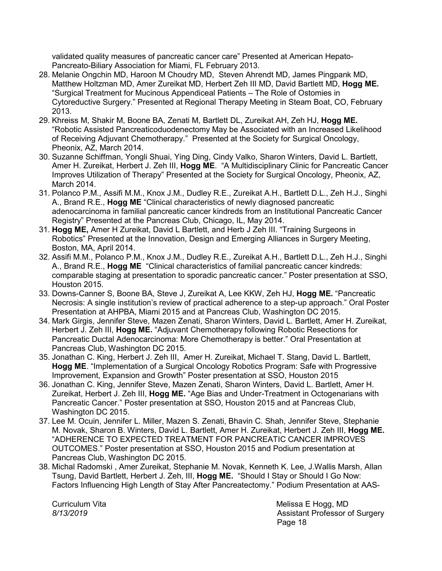validated quality measures of pancreatic cancer care" Presented at American Hepato-Pancreato-Biliary Association for Miami, FL February 2013.

- 28. Melanie Ongchin MD, Haroon M Choudry MD, Steven Ahrendt MD, James Pingpank MD, Matthew Holtzman MD, Amer Zureikat MD, Herbert Zeh III MD, David Bartlett MD, **Hogg ME.** "Surgical Treatment for Mucinous Appendiceal Patients – The Role of Ostomies in Cytoreductive Surgery." Presented at Regional Therapy Meeting in Steam Boat, CO, February 2013.
- 29. Khreiss M, Shakir M, Boone BA, Zenati M, Bartlett DL, Zureikat AH, Zeh HJ, **Hogg ME.** "Robotic Assisted Pancreaticoduodenectomy May be Associated with an Increased Likelihood of Receiving Adjuvant Chemotherapy." Presented at the Society for Surgical Oncology, Pheonix, AZ, March 2014.
- 30. Suzanne Schiffman, Yongli Shuai, Ying Ding, Cindy Valko, Sharon Winters, David L. Bartlett, Amer H. Zureikat, Herbert J. Zeh III, **Hogg ME**. "A Multidisciplinary Clinic for Pancreatic Cancer Improves Utilization of Therapy" Presented at the Society for Surgical Oncology, Pheonix, AZ, March 2014.
- 31. Polanco P.M., Assifi M.M., Knox J.M., Dudley R.E., Zureikat A.H., Bartlett D.L., Zeh H.J., Singhi A., Brand R.E., **Hogg ME** "Clinical characteristics of newly diagnosed pancreatic adenocarcinoma in familial pancreatic cancer kindreds from an Institutional Pancreatic Cancer Registry" Presented at the Pancreas Club, Chicago, IL, May 2014.
- 31. **Hogg ME,** Amer H Zureikat, David L Bartlett, and Herb J Zeh III. "Training Surgeons in Robotics" Presented at the Innovation, Design and Emerging Alliances in Surgery Meeting, Boston, MA, April 2014.
- 32. Assifi M.M., Polanco P.M., Knox J.M., Dudley R.E., Zureikat A.H., Bartlett D.L., Zeh H.J., Singhi A., Brand R.E., **Hogg ME** "Clinical characteristics of familial pancreatic cancer kindreds: comparable staging at presentation to sporadic pancreatic cancer." Poster presentation at SSO, Houston 2015.
- 33. Downs-Canner S, Boone BA, Steve J, Zureikat A, Lee KKW, Zeh HJ, **Hogg ME.** "Pancreatic Necrosis: A single institution's review of practical adherence to a step-up approach." Oral Poster Presentation at AHPBA, Miami 2015 and at Pancreas Club, Washington DC 2015.
- 34. Mark Girgis, Jennifer Steve, Mazen Zenati, Sharon Winters, David L. Bartlett, Amer H. Zureikat, Herbert J. Zeh III, **Hogg ME.** "Adjuvant Chemotherapy following Robotic Resections for Pancreatic Ductal Adenocarcinoma: More Chemotherapy is better." Oral Presentation at Pancreas Club, Washington DC 2015.
- 35. Jonathan C. King, Herbert J. Zeh III, Amer H. Zureikat, Michael T. Stang, David L. Bartlett, **Hogg ME**. "Implementation of a Surgical Oncology Robotics Program: Safe with Progressive Improvement, Expansion and Growth" Poster presentation at SSO, Houston 2015
- 36. Jonathan C. King, Jennifer Steve, Mazen Zenati, Sharon Winters, David L. Bartlett, Amer H. Zureikat, Herbert J. Zeh III, **Hogg ME.** "Age Bias and Under-Treatment in Octogenarians with Pancreatic Cancer." Poster presentation at SSO, Houston 2015 and at Pancreas Club, Washington DC 2015.
- 37. Lee M. Ocuin, Jennifer L. Miller, Mazen S. Zenati, Bhavin C. Shah, Jennifer Steve, Stephanie M. Novak, Sharon B. Winters, David L. Bartlett, Amer H. Zureikat, Herbert J. Zeh III, **Hogg ME.**  "ADHERENCE TO EXPECTED TREATMENT FOR PANCREATIC CANCER IMPROVES OUTCOMES." Poster presentation at SSO, Houston 2015 and Podium presentation at Pancreas Club, Washington DC 2015.
- 38. Michal Radomski , Amer Zureikat, Stephanie M. Novak, Kenneth K. Lee, J.Wallis Marsh, Allan Tsung, David Bartlett, Herbert J. Zeh, III, **Hogg ME.** "Should I Stay or Should I Go Now: Factors Influencing High Length of Stay After Pancreatectomy." Podium Presentation at AAS-

Curriculum Vita **Melissa E Hogg, MD** *8/13/2019* Assistant Professor of Surgery e de la provincia de la provincia de la provincia de la provincia de la provincia de la provincia de la provinci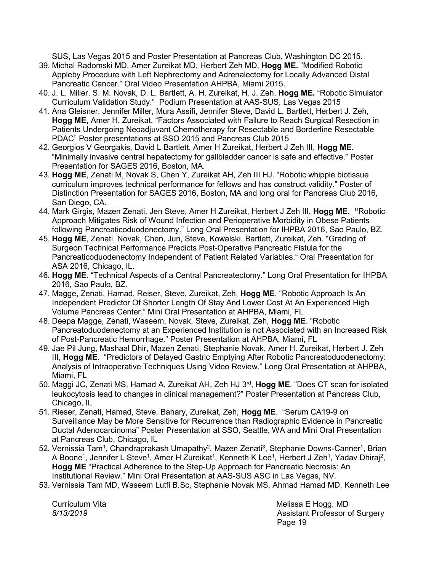SUS, Las Vegas 2015 and Poster Presentation at Pancreas Club, Washington DC 2015.

- 39. Michal Radomski MD, Amer Zureikat MD, Herbert Zeh MD, **Hogg ME.** "Modified Robotic Appleby Procedure with Left Nephrectomy and Adrenalectomy for Locally Advanced Distal Pancreatic Cancer." Oral Video Presentation AHPBA, Miami 2015.
- 40. J. L. Miller, S. M. Novak, D. L. Bartlett, A. H. Zureikat, H. J. Zeh, **Hogg ME.** "Robotic Simulator Curriculum Validation Study." Podium Presentation at AAS-SUS, Las Vegas 2015
- 41. Ana Gleisner, Jennifer Miller, Mura Assifi, Jennifer Steve, David L. Bartlett, Herbert J. Zeh, **Hogg ME,** Amer H. Zureikat. "Factors Associated with Failure to Reach Surgical Resection in Patients Undergoing Neoadjuvant Chemotherapy for Resectable and Borderline Resectable PDAC" Poster presentations at SSO 2015 and Pancreas Club 2015
- 42. Georgios V Georgakis, David L Bartlett, Amer H Zureikat, Herbert J Zeh III, **Hogg ME.**  "Minimally invasive central hepatectomy for gallbladder cancer is safe and effective." Poster Presentation for SAGES 2016, Boston, MA.
- 43. **Hogg ME**, Zenati M, Novak S, Chen Y, Zureikat AH, Zeh III HJ. "Robotic whipple biotissue curriculum improves technical performance for fellows and has construct validity." Poster of Distinction Presentation for SAGES 2016, Boston, MA and long oral for Pancreas Club 2016, San Diego, CA.
- 44. Mark Girgis, Mazen Zenati, Jen Steve, Amer H Zureikat, Herbert J Zeh III, **Hogg ME. "**Robotic Approach Mitigates Risk of Wound Infection and Perioperative Morbidity in Obese Patients following Pancreaticoduodenectomy." Long Oral Presentation for IHPBA 2016, Sao Paulo, BZ.
- 45. **Hogg ME**, Zenati, Novak, Chen, Jun, Steve, Kowalski, Bartlett, Zureikat, Zeh. "Grading of Surgeon Technical Performance Predicts Post-Operative Pancreatic Fistula for the Pancreaticoduodenectomy Independent of Patient Related Variables." Oral Presentation for ASA 2016, Chicago, IL.
- 46. **Hogg ME.** "Technical Aspects of a Central Pancreatectomy." Long Oral Presentation for IHPBA 2016, Sao Paulo, BZ.
- 47. Magge, Zenati, Hamad, Reiser, Steve, Zureikat, Zeh, **Hogg ME**. "Robotic Approach Is An Independent Predictor Of Shorter Length Of Stay And Lower Cost At An Experienced High Volume Pancreas Center." Mini Oral Presentation at AHPBA, Miami, FL
- 48. Deepa Magge, Zenati, Waseem, Novak, Steve, Zureikat, Zeh, **Hogg ME**. "Robotic Pancreatoduodenectomy at an Experienced Institution is not Associated with an Increased Risk of Post-Pancreatic Hemorrhage." Poster Presentation at AHPBA, Miami, FL
- 49. Jae Pil Jung, Mashaal Dhir, Mazen Zenati, Stephanie Novak, Amer H. Zureikat, Herbert J. Zeh III, **Hogg ME**. "Predictors of Delayed Gastric Emptying After Robotic Pancreatoduodenectomy: Analysis of Intraoperative Techniques Using Video Review." Long Oral Presentation at AHPBA, Miami, FL
- 50. Maggi JC, Zenati MS, Hamad A, Zureikat AH, Zeh HJ 3rd, **Hogg ME**. "Does CT scan for isolated leukocytosis lead to changes in clinical management?" Poster Presentation at Pancreas Club, Chicago, IL
- 51. Rieser, Zenati, Hamad, Steve, Bahary, Zureikat, Zeh, **Hogg ME**. "Serum CA19-9 on Surveillance May be More Sensitive for Recurrence than Radiographic Evidence in Pancreatic Ductal Adenocarcinoma" Poster Presentation at SSO, Seattle, WA and Mini Oral Presentation at Pancreas Club, Chicago, IL
- 52. Vernissia Tam<sup>1</sup>, Chandraprakash Umapathy<sup>2</sup>, Mazen Zenati<sup>3</sup>, Stephanie Downs-Canner<sup>1</sup>, Brian A Boone<sup>1</sup>, Jennifer L Steve<sup>1</sup>, Amer H Zureikat<sup>1</sup>, Kenneth K Lee<sup>1</sup>, Herbert J Zeh<sup>1</sup>, Yadav Dhiraj<sup>2</sup>, **Hogg ME** "Practical Adherence to the Step-Up Approach for Pancreatic Necrosis: An Institutional Review." Mini Oral Presentation at AAS-SUS ASC in Las Vegas, NV.
- 53. Vernissia Tam MD, Waseem Lutfi B.Sc, Stephanie Novak MS, Ahmad Hamad MD, Kenneth Lee

Curriculum Vita **Melissa E Hogg, MD** *8/13/2019* Assistant Professor of Surgery e de la construction de la construction de la construction de la construction de la construction de la constru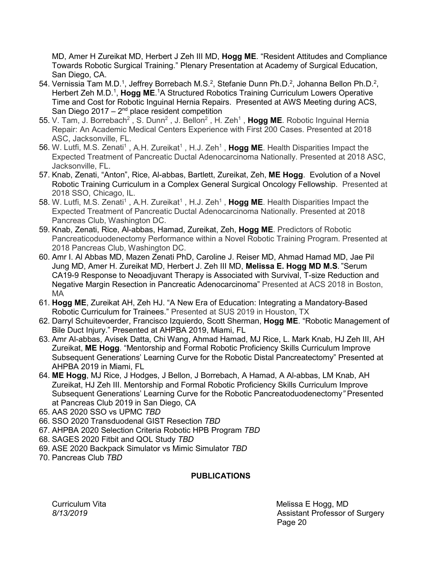MD, Amer H Zureikat MD, Herbert J Zeh III MD, **Hogg ME**. "Resident Attitudes and Compliance Towards Robotic Surgical Training." Plenary Presentation at Academy of Surgical Education, San Diego, CA.

- 54. Vernissia Tam M.D.<sup>1</sup>, Jeffrey Borrebach M.S.<sup>2</sup>, Stefanie Dunn Ph.D.<sup>2</sup>, Johanna Bellon Ph.D.<sup>2</sup>, Herbert Zeh M.D.<sup>1</sup>, Hogg ME.<sup>1</sup>A Structured Robotics Training Curriculum Lowers Operative Time and Cost for Robotic Inguinal Hernia Repairs. Presented at AWS Meeting during ACS, San Diego 2017 –  $2^{nd}$  place resident competition
- 55. V. Tam, J. Borrebach<sup>2</sup>, S. Dunn<sup>2</sup>, J. Bellon<sup>2</sup>, H. Zeh<sup>1</sup>, Hogg ME. Robotic Inguinal Hernia Repair: An Academic Medical Centers Experience with First 200 Cases. Presented at 2018 ASC, Jacksonville, FL.
- 56. W. Lutfi, M.S. Zenati<sup>1</sup>, A.H. Zureikat<sup>1</sup>, H.J. Zeh<sup>1</sup>, Hogg ME. Health Disparities Impact the Expected Treatment of Pancreatic Ductal Adenocarcinoma Nationally. Presented at 2018 ASC, Jacksonville, FL.
- 57. Knab, Zenati, "Anton", Rice, Al-abbas, Bartlett, Zureikat, Zeh, **ME Hogg**. Evolution of a Novel Robotic Training Curriculum in a Complex General Surgical Oncology Fellowship. Presented at 2018 SSO, Chicago, IL.
- 58. W. Lutfi, M.S. Zenati<sup>1</sup>, A.H. Zureikat<sup>1</sup>, H.J. Zeh<sup>1</sup>, Hogg ME. Health Disparities Impact the Expected Treatment of Pancreatic Ductal Adenocarcinoma Nationally. Presented at 2018 Pancreas Club, Washington DC.
- 59. Knab, Zenati, Rice, Al-abbas, Hamad, Zureikat, Zeh, **Hogg ME**. Predictors of Robotic Pancreaticoduodenectomy Performance within a Novel Robotic Training Program. Presented at 2018 Pancreas Club, Washington DC.
- 60. Amr I. Al Abbas MD, Mazen Zenati PhD, Caroline J. Reiser MD, Ahmad Hamad MD, Jae Pil Jung MD, Amer H. Zureikat MD, Herbert J. Zeh III MD, **Melissa E. Hogg MD M.S**. "Serum CA19-9 Response to Neoadjuvant Therapy is Associated with Survival, T-size Reduction and Negative Margin Resection in Pancreatic Adenocarcinoma" Presented at ACS 2018 in Boston, MA
- 61. **Hogg ME**, Zureikat AH, Zeh HJ. "A New Era of Education: Integrating a Mandatory-Based Robotic Curriculum for Trainees." Presented at SUS 2019 in Houston, TX
- 62. Darryl Schuitevoerder, Francisco Izquierdo, Scott Sherman, **Hogg ME**. "Robotic Management of Bile Duct Injury." Presented at AHPBA 2019, Miami, FL
- 63. Amr Al-abbas, Avisek Datta, Chi Wang, Ahmad Hamad, MJ Rice, L. Mark Knab, HJ Zeh III, AH Zureikat, **ME Hogg**. "Mentorship and Formal Robotic Proficiency Skills Curriculum Improve Subsequent Generations' Learning Curve for the Robotic Distal Pancreatectomy" Presented at AHPBA 2019 in Miami, FL
- 64. **ME Hogg**, MJ Rice, J Hodges, J Bellon, J Borrebach, A Hamad, A Al-abbas, LM Knab, AH Zureikat, HJ Zeh III. Mentorship and Formal Robotic Proficiency Skills Curriculum Improve Subsequent Generations' Learning Curve for the Robotic Pancreatoduodenectomy*"* Presented at Pancreas Club 2019 in San Diego, CA
- 65. AAS 2020 SSO vs UPMC *TBD*
- 66. SSO 2020 Transduodenal GIST Resection *TBD*
- 67. AHPBA 2020 Selection Criteria Robotic HPB Program *TBD*
- 68. SAGES 2020 Fitbit and QOL Study *TBD*
- 69. ASE 2020 Backpack Simulator vs Mimic Simulator *TBD*
- 70. Pancreas Club *TBD*

### **PUBLICATIONS**

Curriculum Vita **Melissa E Hogg, MD** *8/13/2019* Assistant Professor of Surgery e de la provincia de la provincia de la provincia de la provincia de la provincia de la provincia de la provincia d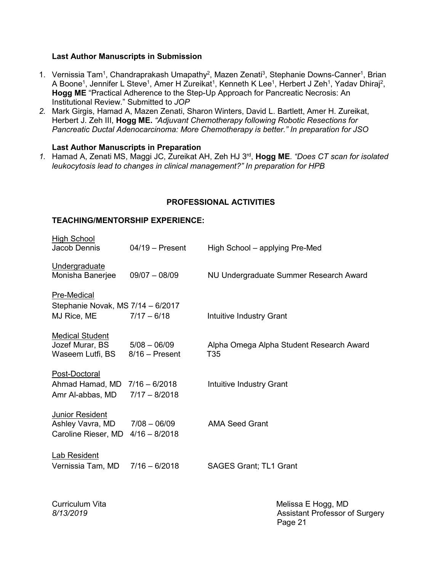#### **Last Author Manuscripts in Submission**

- 1. Vernissia Tam<sup>1</sup>, Chandraprakash Umapathy<sup>2</sup>, Mazen Zenati<sup>3</sup>, Stephanie Downs-Canner<sup>1</sup>, Brian A Boone<sup>1</sup>, Jennifer L Steve<sup>1</sup>, Amer H Zureikat<sup>1</sup>, Kenneth K Lee<sup>1</sup>, Herbert J Zeh<sup>1</sup>, Yadav Dhiraj<sup>2</sup>, **Hogg ME** "Practical Adherence to the Step-Up Approach for Pancreatic Necrosis: An Institutional Review." Submitted to *JOP*
- *2.* Mark Girgis, Hamad A, Mazen Zenati, Sharon Winters, David L. Bartlett, Amer H. Zureikat, Herbert J. Zeh III, **Hogg ME.** *"Adjuvant Chemotherapy following Robotic Resections for Pancreatic Ductal Adenocarcinoma: More Chemotherapy is better." In preparation for JSO*

#### **Last Author Manuscripts in Preparation**

*1.* Hamad A, Zenati MS, Maggi JC, Zureikat AH, Zeh HJ 3rd, **Hogg ME**. *"Does CT scan for isolated leukocytosis lead to changes in clinical management?" In preparation for HPB*

#### **PROFESSIONAL ACTIVITIES**

#### **TEACHING/MENTORSHIP EXPERIENCE:**

| <b>High School</b><br>Jacob Dennis                                 | $04/19$ – Present                  | High School – applying Pre-Med                  |
|--------------------------------------------------------------------|------------------------------------|-------------------------------------------------|
| Undergraduate<br>Monisha Banerjee                                  | $09/07 - 08/09$                    | NU Undergraduate Summer Research Award          |
| Pre-Medical<br>Stephanie Novak, MS 7/14 - 6/2017                   |                                    |                                                 |
| MJ Rice, ME                                                        | $7/17 - 6/18$                      | Intuitive Industry Grant                        |
| <b>Medical Student</b><br>Jozef Murar, BS<br>Waseem Lutfi, BS      | $5/08 - 06/09$<br>$8/16$ – Present | Alpha Omega Alpha Student Research Award<br>T35 |
| Post-Doctoral<br>Ahmad Hamad, MD 7/16 - 6/2018<br>Amr Al-abbas, MD | $7/17 - 8/2018$                    | Intuitive Industry Grant                        |
| <b>Junior Resident</b><br>Ashley Vavra, MD<br>Caroline Rieser, MD  | $7/08 - 06/09$<br>$4/16 - 8/2018$  | <b>AMA Seed Grant</b>                           |
| <b>Lab Resident</b><br>Vernissia Tam, MD                           | $7/16 - 6/2018$                    | <b>SAGES Grant; TL1 Grant</b>                   |

Curriculum Vita<br>
8/13/2019<br>
Melissa E Hogg, MD<br>
Assistant Professor c **Assistant Professor of Surgery** Page 21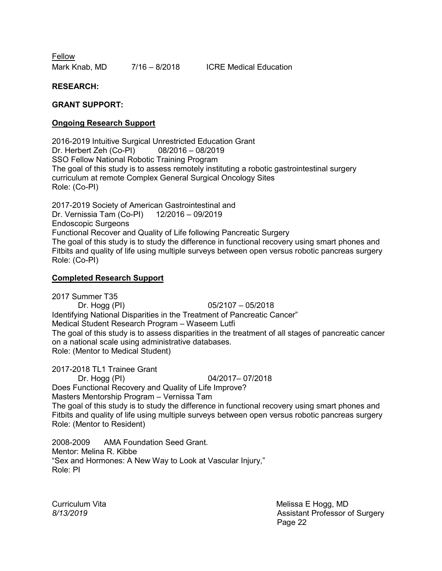Fellow Mark Knab, MD 7/16 - 8/2018 ICRE Medical Education

**RESEARCH:**

#### **GRANT SUPPORT:**

#### **Ongoing Research Support**

2016-2019 Intuitive Surgical Unrestricted Education Grant Dr. Herbert Zeh (Co-PI) 08/2016 – 08/2019 SSO Fellow National Robotic Training Program The goal of this study is to assess remotely instituting a robotic gastrointestinal surgery curriculum at remote Complex General Surgical Oncology Sites Role: (Co-PI)

2017-2019 Society of American Gastrointestinal and Dr. Vernissia Tam (Co-PI) 12/2016 – 09/2019 Endoscopic Surgeons Functional Recover and Quality of Life following Pancreatic Surgery The goal of this study is to study the difference in functional recovery using smart phones and Fitbits and quality of life using multiple surveys between open versus robotic pancreas surgery Role: (Co-PI)

#### **Completed Research Support**

2017 Summer T35<br>Dr. Hogg (PI)  $05/2107 - 05/2018$ Identifying National Disparities in the Treatment of Pancreatic Cancer" Medical Student Research Program – Waseem Lutfi The goal of this study is to assess disparities in the treatment of all stages of pancreatic cancer on a national scale using administrative databases. Role: (Mentor to Medical Student)

2017-2018 TL1 Trainee Grant

Dr. Hogg (PI) 04/2017– 07/2018 Does Functional Recovery and Quality of Life Improve? Masters Mentorship Program – Vernissa Tam The goal of this study is to study the difference in functional recovery using smart phones and Fitbits and quality of life using multiple surveys between open versus robotic pancreas surgery Role: (Mentor to Resident)

2008-2009 AMA Foundation Seed Grant. Mentor: Melina R. Kibbe "Sex and Hormones: A New Way to Look at Vascular Injury," Role: PI

Curriculum Vita **Melissa E Hogg, MD** *8/13/2019* Assistant Professor of Surgery Page 22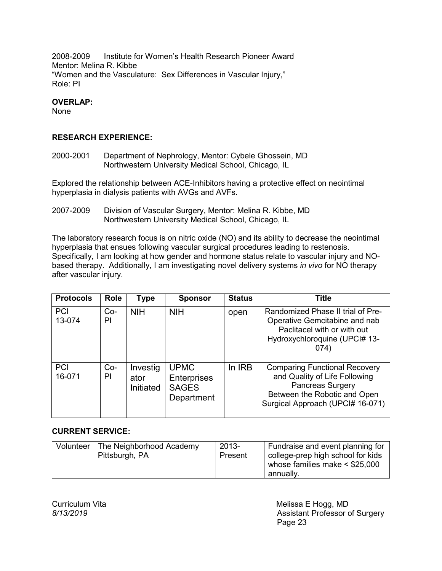2008-2009 Institute for Women's Health Research Pioneer Award Mentor: Melina R. Kibbe "Women and the Vasculature: Sex Differences in Vascular Injury," Role: PI

### **OVERLAP:**

None

### **RESEARCH EXPERIENCE:**

2000-2001 Department of Nephrology, Mentor: Cybele Ghossein, MD Northwestern University Medical School, Chicago, IL

Explored the relationship between ACE-Inhibitors having a protective effect on neointimal hyperplasia in dialysis patients with AVGs and AVFs.

2007-2009 Division of Vascular Surgery, Mentor: Melina R. Kibbe, MD Northwestern University Medical School, Chicago, IL

The laboratory research focus is on nitric oxide (NO) and its ability to decrease the neointimal hyperplasia that ensues following vascular surgical procedures leading to restenosis. Specifically, I am looking at how gender and hormone status relate to vascular injury and NObased therapy. Additionally, I am investigating novel delivery systems *in vivo* for NO therapy after vascular injury.

| <b>Protocols</b>     | Role        | <b>Type</b>                   | <b>Sponsor</b>                                           | <b>Status</b> | <b>Title</b>                                                                                                                                                         |
|----------------------|-------------|-------------------------------|----------------------------------------------------------|---------------|----------------------------------------------------------------------------------------------------------------------------------------------------------------------|
| <b>PCI</b><br>13-074 | $Co-$<br>PI | <b>NIH</b>                    | <b>NIH</b>                                               | open          | Randomized Phase II trial of Pre-<br>Operative Gemcitabine and nab<br>Paclitacel with or with out<br>Hydroxychloroquine (UPCI# 13-<br>074)                           |
| <b>PCI</b><br>16-071 | Co-<br>PI   | Investig<br>ator<br>Initiated | <b>UPMC</b><br>Enterprises<br><b>SAGES</b><br>Department | In IRB        | <b>Comparing Functional Recovery</b><br>and Quality of Life Following<br><b>Pancreas Surgery</b><br>Between the Robotic and Open<br>Surgical Approach (UPCI# 16-071) |

### **CURRENT SERVICE:**

| Volunteer | The Neighborhood Academy<br>Pittsburgh, PA | 2013-<br>Present | Fundraise and event planning for<br>college-prep high school for kids<br>whose families make $<$ \$25,000 |
|-----------|--------------------------------------------|------------------|-----------------------------------------------------------------------------------------------------------|
|           |                                            |                  | annually.                                                                                                 |

Curriculum Vita **Melissa E** Hogg, MD *8/13/2019* Assistant Professor of Surgery Page 23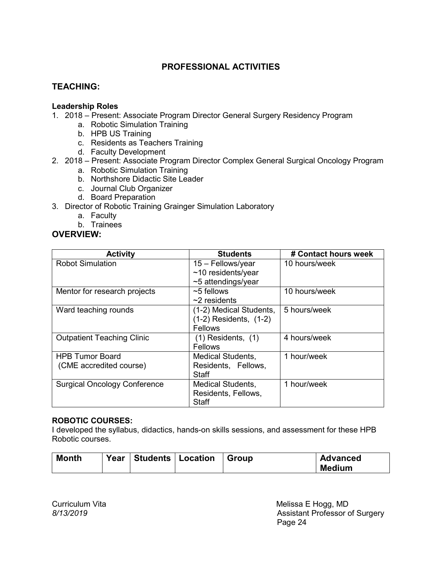# **PROFESSIONAL ACTIVITIES**

## **TEACHING:**

### **Leadership Roles**

- 1. 2018 Present: Associate Program Director General Surgery Residency Program
	- a. Robotic Simulation Training
		- b. HPB US Training
		- c. Residents as Teachers Training
		- d. Faculty Development

### 2. 2018 – Present: Associate Program Director Complex General Surgical Oncology Program

- a. Robotic Simulation Training
- b. Northshore Didactic Site Leader
- c. Journal Club Organizer
- d. Board Preparation
- 3. Director of Robotic Training Grainger Simulation Laboratory
	- a. Faculty
	- b. Trainees

## **OVERVIEW:**

| <b>Activity</b>                     | <b>Students</b>            | # Contact hours week |
|-------------------------------------|----------------------------|----------------------|
| <b>Robot Simulation</b>             | 15 - Fellows/year          | 10 hours/week        |
|                                     | $~10$ residents/year       |                      |
|                                     | $~5$ attendings/year       |                      |
| Mentor for research projects        | $\sim$ 5 fellows           | 10 hours/week        |
|                                     | $\sim$ 2 residents         |                      |
| Ward teaching rounds                | (1-2) Medical Students,    | 5 hours/week         |
|                                     | $(1-2)$ Residents, $(1-2)$ |                      |
|                                     | <b>Fellows</b>             |                      |
| <b>Outpatient Teaching Clinic</b>   | $(1)$ Residents, $(1)$     | 4 hours/week         |
|                                     | <b>Fellows</b>             |                      |
| <b>HPB Tumor Board</b>              | <b>Medical Students,</b>   | 1 hour/week          |
| (CME accredited course)             | Residents, Fellows,        |                      |
|                                     | Staff                      |                      |
| <b>Surgical Oncology Conference</b> | <b>Medical Students,</b>   | 1 hour/week          |
|                                     | Residents, Fellows,        |                      |
|                                     | Staff                      |                      |

### **ROBOTIC COURSES:**

I developed the syllabus, didactics, hands-on skills sessions, and assessment for these HPB Robotic courses.

| <b>Month</b> | Year   Students   Location | ∣ Group | <b>Advanced</b> |
|--------------|----------------------------|---------|-----------------|
|              |                            |         | Medium          |

Curriculum Vita<br>
8/13/2019<br>
Melissa E Hogg, MD<br>
Assistant Professor c Assistant Professor of Surgery Page 24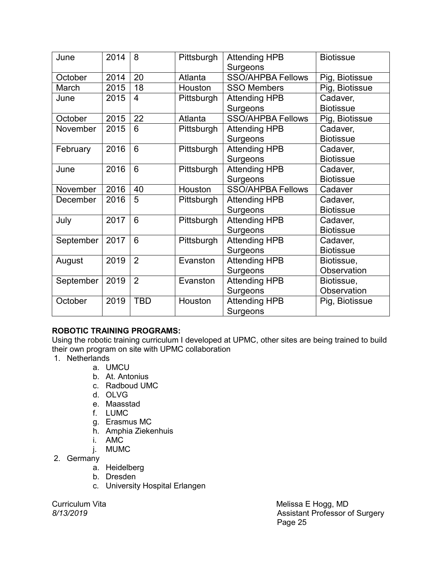| June      | 2014 | 8               | Pittsburgh | <b>Attending HPB</b>     | <b>Biotissue</b> |
|-----------|------|-----------------|------------|--------------------------|------------------|
|           |      |                 |            | Surgeons                 |                  |
| October   | 2014 | 20              | Atlanta    | <b>SSO/AHPBA Fellows</b> | Pig, Biotissue   |
| March     | 2015 | 18              | Houston    | <b>SSO Members</b>       | Pig, Biotissue   |
| June      | 2015 | $\overline{4}$  | Pittsburgh | <b>Attending HPB</b>     | Cadaver,         |
|           |      |                 |            | Surgeons                 | <b>Biotissue</b> |
| October   | 2015 | 22              | Atlanta    | <b>SSO/AHPBA Fellows</b> | Pig, Biotissue   |
| November  | 2015 | 6               | Pittsburgh | <b>Attending HPB</b>     | Cadaver,         |
|           |      |                 |            | Surgeons                 | <b>Biotissue</b> |
| February  | 2016 | $6\phantom{1}6$ | Pittsburgh | <b>Attending HPB</b>     | Cadaver,         |
|           |      |                 |            | Surgeons                 | <b>Biotissue</b> |
| June      | 2016 | $6\phantom{1}6$ | Pittsburgh | <b>Attending HPB</b>     | Cadaver,         |
|           |      |                 |            | Surgeons                 | <b>Biotissue</b> |
| November  | 2016 | 40              | Houston    | <b>SSO/AHPBA Fellows</b> | Cadaver          |
| December  | 2016 | 5               | Pittsburgh | <b>Attending HPB</b>     | Cadaver,         |
|           |      |                 |            | Surgeons                 | <b>Biotissue</b> |
| July      | 2017 | 6               | Pittsburgh | <b>Attending HPB</b>     | Cadaver,         |
|           |      |                 |            | Surgeons                 | <b>Biotissue</b> |
| September | 2017 | 6               | Pittsburgh | <b>Attending HPB</b>     | Cadaver,         |
|           |      |                 |            | Surgeons                 | <b>Biotissue</b> |
| August    | 2019 | $\overline{2}$  | Evanston   | <b>Attending HPB</b>     | Biotissue,       |
|           |      |                 |            | Surgeons                 | Observation      |
| September | 2019 | $\overline{2}$  | Evanston   | <b>Attending HPB</b>     | Biotissue,       |
|           |      |                 |            | Surgeons                 | Observation      |
| October   | 2019 | <b>TBD</b>      | Houston    | <b>Attending HPB</b>     | Pig, Biotissue   |
|           |      |                 |            | Surgeons                 |                  |

## **ROBOTIC TRAINING PROGRAMS:**

Using the robotic training curriculum I developed at UPMC, other sites are being trained to build their own program on site with UPMC collaboration

- 1. Netherlands
	- a. UMCU
	- b. At. Antonius
	- c. Radboud UMC
	- d. OLVG
	- e. Maasstad
	- f. LUMC
	- g. Erasmus MC
	- h. Amphia Ziekenhuis
	- i. AMC
	- j. MUMC
- 2. Germany
	- a. Heidelberg
	- b. Dresden
	- c. University Hospital Erlangen

Curriculum Vita Melissa E Hogg, MD **Assistant Professor of Surgery** Page 25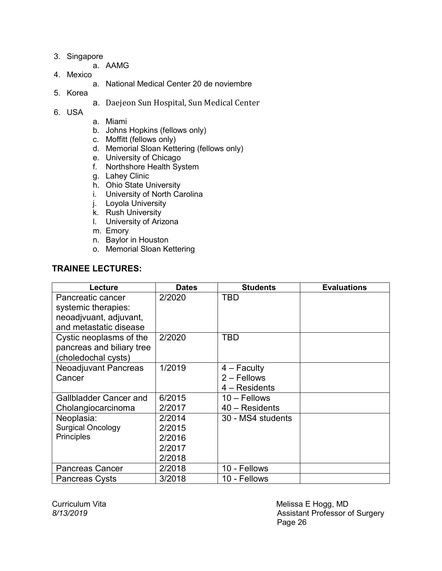- 3. Singapore
	- a. AAMG
- 4. Mexico
	- a. National Medical Center 20 de noviembre
- 5. Korea
- a. Daejeon Sun Hospital, Sun Medical Center
- 6. USA
- a. Miami
- b. Johns Hopkins (fellows only)
- c. Moffitt (fellows only)
- d. Memorial Sloan Kettering (fellows only)
- e. University of Chicago
- f. Northshore Health System
- g. Lahey Clinic
- h. Ohio State University
- i. University of North Carolina
- j. Loyola University
- k. Rush University
- l. University of Arizona
- m. Emory
- n. Baylor in Houston
- o. Memorial Sloan Kettering

## **TRAINEE LECTURES:**

| Lecture                   | <b>Dates</b> | <b>Students</b>   | <b>Evaluations</b> |
|---------------------------|--------------|-------------------|--------------------|
| Pancreatic cancer         | 2/2020       | <b>TBD</b>        |                    |
| systemic therapies:       |              |                   |                    |
| neoadjvuant, adjuvant,    |              |                   |                    |
| and metastatic disease    |              |                   |                    |
| Cystic neoplasms of the   | 2/2020       | TBD               |                    |
| pancreas and biliary tree |              |                   |                    |
| (choledochal cysts)       |              |                   |                    |
| Neoadjuvant Pancreas      | 1/2019       | $4 -$ Faculty     |                    |
| Cancer                    |              | $2 -$ Fellows     |                    |
|                           |              | $4 - Residents$   |                    |
| Gallbladder Cancer and    | 6/2015       | $10 -$ Fellows    |                    |
| Cholangiocarcinoma        | 2/2017       | 40 - Residents    |                    |
| Neoplasia:                | 2/2014       | 30 - MS4 students |                    |
| <b>Surgical Oncology</b>  | 2/2015       |                   |                    |
| <b>Principles</b>         | 2/2016       |                   |                    |
|                           | 2/2017       |                   |                    |
|                           | 2/2018       |                   |                    |
| <b>Pancreas Cancer</b>    | 2/2018       | 10 - Fellows      |                    |
| <b>Pancreas Cysts</b>     | 3/2018       | 10 - Fellows      |                    |

Curriculum Vita<br>
8/13/2019<br>
Melissa E Hogg, MD<br>
Assistant Professor c **Assistant Professor of Surgery** Page 26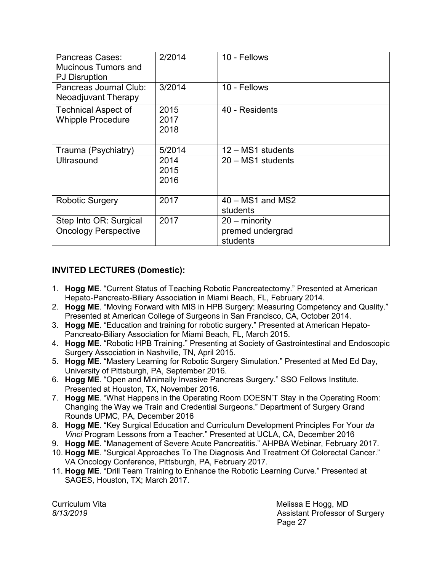| Pancreas Cases:<br><b>Mucinous Tumors and</b><br><b>PJ Disruption</b> | 2/2014               | 10 - Fellows                                  |  |
|-----------------------------------------------------------------------|----------------------|-----------------------------------------------|--|
| Pancreas Journal Club:<br>Neoadjuvant Therapy                         | 3/2014               | 10 - Fellows                                  |  |
| <b>Technical Aspect of</b><br><b>Whipple Procedure</b>                | 2015<br>2017<br>2018 | 40 - Residents                                |  |
| Trauma (Psychiatry)                                                   | 5/2014               | 12 - MS1 students                             |  |
| Ultrasound                                                            | 2014<br>2015<br>2016 | 20 - MS1 students                             |  |
| <b>Robotic Surgery</b>                                                | 2017                 | $40 - MS1$ and MS2<br>students                |  |
| Step Into OR: Surgical<br><b>Oncology Perspective</b>                 | 2017                 | 20 – minority<br>premed undergrad<br>students |  |

# **INVITED LECTURES (Domestic):**

- 1. **Hogg ME**. "Current Status of Teaching Robotic Pancreatectomy." Presented at American Hepato-Pancreato-Biliary Association in Miami Beach, FL, February 2014.
- 2. **Hogg ME**. "Moving Forward with MIS in HPB Surgery: Measuring Competency and Quality." Presented at American College of Surgeons in San Francisco, CA, October 2014.
- 3. **Hogg ME**. "Education and training for robotic surgery." Presented at American Hepato-Pancreato-Biliary Association for Miami Beach, FL, March 2015.
- 4. **Hogg ME**. "Robotic HPB Training." Presenting at Society of Gastrointestinal and Endoscopic Surgery Association in Nashville, TN, April 2015.
- 5. **Hogg ME**. "Mastery Learning for Robotic Surgery Simulation." Presented at Med Ed Day, University of Pittsburgh, PA, September 2016.
- 6. **Hogg ME**. "Open and Minimally Invasive Pancreas Surgery." SSO Fellows Institute. Presented at Houston, TX, November 2016.
- 7. **Hogg ME**. "What Happens in the Operating Room DOESN'T Stay in the Operating Room: Changing the Way we Train and Credential Surgeons." Department of Surgery Grand Rounds UPMC, PA, December 2016
- 8. **Hogg ME**. "Key Surgical Education and Curriculum Development Principles For Your *da Vinci* Program Lessons from a Teacher." Presented at UCLA, CA, December 2016
- 9. **Hogg ME**. "Management of Severe Acute Pancreatitis." AHPBA Webinar, February 2017.
- 10. **Hogg ME**. "Surgical Approaches To The Diagnosis And Treatment Of Colorectal Cancer." VA Oncology Conference, Pittsburgh, PA, February 2017.
- 11. **Hogg ME**. "Drill Team Training to Enhance the Robotic Learning Curve." Presented at SAGES, Houston, TX; March 2017.

Curriculum Vita **Melissa E Hogg, MD** *8/13/2019* Assistant Professor of Surgery Page 27 (1999) and the contract of the contract of the Page 27 (1999) and the contract of the contract of the contract of the contract of the contract of the contract of the contract of the contract of the contract of the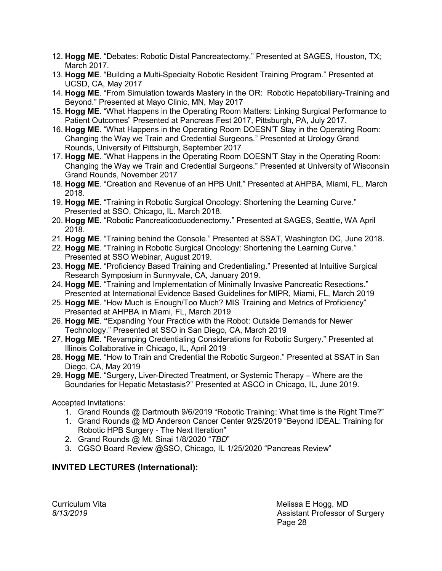- 12. **Hogg ME**. "Debates: Robotic Distal Pancreatectomy." Presented at SAGES, Houston, TX; March 2017.
- 13. **Hogg ME**. "Building a Multi-Specialty Robotic Resident Training Program." Presented at UCSD, CA, May 2017
- 14. **Hogg ME**. "From Simulation towards Mastery in the OR: Robotic Hepatobiliary-Training and Beyond." Presented at Mayo Clinic, MN, May 2017
- 15. **Hogg ME**. "What Happens in the Operating Room Matters: Linking Surgical Performance to Patient Outcomes" Presented at Pancreas Fest 2017, Pittsburgh, PA, July 2017.
- 16. **Hogg ME**. "What Happens in the Operating Room DOESN'T Stay in the Operating Room: Changing the Way we Train and Credential Surgeons." Presented at Urology Grand Rounds, University of Pittsburgh, September 2017
- 17. **Hogg ME**. "What Happens in the Operating Room DOESN'T Stay in the Operating Room: Changing the Way we Train and Credential Surgeons." Presented at University of Wisconsin Grand Rounds, November 2017
- 18. **Hogg ME**. "Creation and Revenue of an HPB Unit." Presented at AHPBA, Miami, FL, March 2018.
- 19. **Hogg ME**. "Training in Robotic Surgical Oncology: Shortening the Learning Curve." Presented at SSO, Chicago, IL. March 2018.
- 20. **Hogg ME**. "Robotic Pancreaticoduodenectomy." Presented at SAGES, Seattle, WA April 2018.
- 21. **Hogg ME**. "Training behind the Console." Presented at SSAT, Washington DC, June 2018.
- 22. **Hogg ME**. "Training in Robotic Surgical Oncology: Shortening the Learning Curve." Presented at SSO Webinar, August 2019.
- 23. **Hogg ME**. "Proficiency Based Training and Credentialing." Presented at Intuitive Surgical Research Symposium in Sunnyvale, CA, January 2019.
- 24. **Hogg ME**. "Training and Implementation of Minimally Invasive Pancreatic Resections." Presented at International Evidence Based Guidelines for MIPR, Miami, FL, March 2019
- 25. **Hogg ME**. "How Much is Enough/Too Much? MIS Training and Metrics of Proficiency" Presented at AHPBA in Miami, FL, March 2019
- 26. **Hogg ME**. **"**Expanding Your Practice with the Robot: Outside Demands for Newer Technology." Presented at SSO in San Diego, CA, March 2019
- 27. **Hogg ME**. "Revamping Credentialing Considerations for Robotic Surgery." Presented at Illinois Collaborative in Chicago, IL, April 2019
- 28. **Hogg ME**. "How to Train and Credential the Robotic Surgeon." Presented at SSAT in San Diego, CA, May 2019
- 29. **Hogg ME**. "Surgery, Liver-Directed Treatment, or Systemic Therapy Where are the Boundaries for Hepatic Metastasis?" Presented at ASCO in Chicago, IL, June 2019.

Accepted Invitations:

- 1. Grand Rounds @ Dartmouth 9/6/2019 "Robotic Training: What time is the Right Time?"
- 1. Grand Rounds @ MD Anderson Cancer Center 9/25/2019 "Beyond IDEAL: Training for Robotic HPB Surgery - The Next Iteration"
- 2. Grand Rounds @ Mt. Sinai 1/8/2020 "*TBD*"
- 3. CGSO Board Review @SSO, Chicago, IL 1/25/2020 "Pancreas Review"

# **INVITED LECTURES (International):**

Curriculum Vita **Melissa E Hogg, MD** *8/13/2019* Assistant Professor of Surgery e de la construcción de la construcción de la construcción de la construcción de la construcción de la constru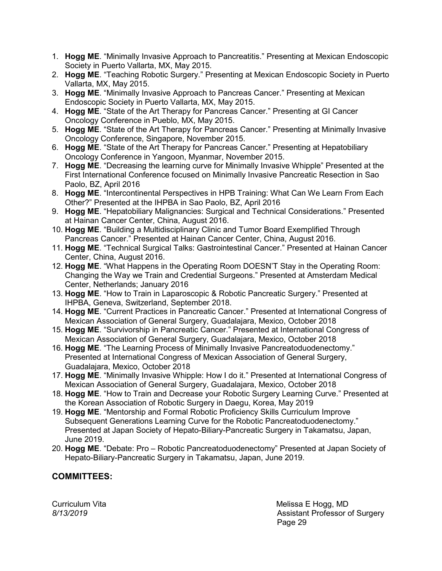- 1. **Hogg ME**. "Minimally Invasive Approach to Pancreatitis." Presenting at Mexican Endoscopic Society in Puerto Vallarta, MX, May 2015.
- 2. **Hogg ME**. "Teaching Robotic Surgery." Presenting at Mexican Endoscopic Society in Puerto Vallarta, MX, May 2015.
- 3. **Hogg ME**. "Minimally Invasive Approach to Pancreas Cancer." Presenting at Mexican Endoscopic Society in Puerto Vallarta, MX, May 2015.
- 4. **Hogg ME**. "State of the Art Therapy for Pancreas Cancer." Presenting at GI Cancer Oncology Conference in Pueblo, MX, May 2015.
- 5. **Hogg ME**. "State of the Art Therapy for Pancreas Cancer." Presenting at Minimally Invasive Oncology Conference, Singapore, November 2015.
- 6. **Hogg ME**. "State of the Art Therapy for Pancreas Cancer." Presenting at Hepatobiliary Oncology Conference in Yangoon, Myanmar, November 2015.
- 7. **Hogg ME**. "Decreasing the learning curve for Minimally Invasive Whipple" Presented at the First International Conference focused on Minimally Invasive Pancreatic Resection in Sao Paolo, BZ, April 2016
- 8. **Hogg ME**. "Intercontinental Perspectives in HPB Training: What Can We Learn From Each Other?" Presented at the IHPBA in Sao Paolo, BZ, April 2016
- 9. **Hogg ME**. "Hepatobiliary Malignancies: Surgical and Technical Considerations." Presented at Hainan Cancer Center, China, August 2016.
- 10. **Hogg ME**. "Building a Multidisciplinary Clinic and Tumor Board Exemplified Through Pancreas Cancer." Presented at Hainan Cancer Center, China, August 2016.
- 11. **Hogg ME**. "Technical Surgical Talks: Gastrointestinal Cancer." Presented at Hainan Cancer Center, China, August 2016.
- 12. **Hogg ME**. "What Happens in the Operating Room DOESN'T Stay in the Operating Room: Changing the Way we Train and Credential Surgeons." Presented at Amsterdam Medical Center, Netherlands; January 2016
- 13. **Hogg ME**. "How to Train in Laparoscopic & Robotic Pancreatic Surgery." Presented at IHPBA, Geneva, Switzerland, September 2018.
- 14. **Hogg ME**. "Current Practices in Pancreatic Cancer." Presented at International Congress of Mexican Association of General Surgery, Guadalajara, Mexico, October 2018
- 15. **Hogg ME**. "Survivorship in Pancreatic Cancer." Presented at International Congress of Mexican Association of General Surgery, Guadalajara, Mexico, October 2018
- 16. **Hogg ME**. "The Learning Process of Minimally Invasive Pancreatoduodenectomy." Presented at International Congress of Mexican Association of General Surgery, Guadalajara, Mexico, October 2018
- 17. **Hogg ME**. "Minimally Invasive Whipple: How I do it." Presented at International Congress of Mexican Association of General Surgery, Guadalajara, Mexico, October 2018
- 18. **Hogg ME**. "How to Train and Decrease your Robotic Surgery Learning Curve." Presented at the Korean Association of Robotic Surgery in Daegu, Korea, May 2019
- 19. **Hogg ME**. "Mentorship and Formal Robotic Proficiency Skills Curriculum Improve Subsequent Generations Learning Curve for the Robotic Pancreatoduodenectomy." Presented at Japan Society of Hepato-Biliary-Pancreatic Surgery in Takamatsu, Japan, June 2019.
- 20. **Hogg ME**. "Debate: Pro Robotic Pancreatoduodenectomy" Presented at Japan Society of Hepato-Biliary-Pancreatic Surgery in Takamatsu, Japan, June 2019.

## **COMMITTEES:**

Curriculum Vita **Melissa E Hogg, MD** *8/13/2019* Assistant Professor of Surgery e de la contradición de la contradición de la contradición de la contradición de la contradición de la contrad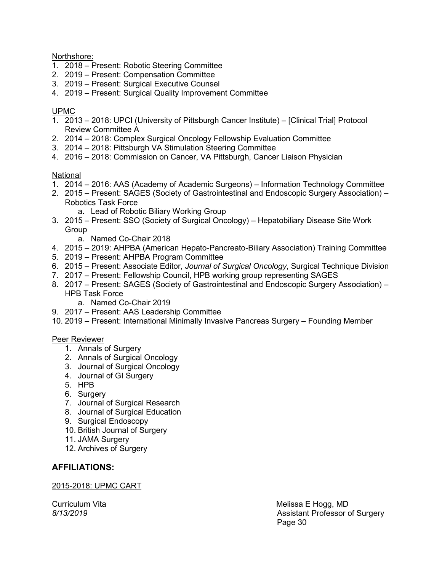Northshore:

- 1. 2018 Present: Robotic Steering Committee
- 2. 2019 Present: Compensation Committee
- 3. 2019 Present: Surgical Executive Counsel
- 4. 2019 Present: Surgical Quality Improvement Committee

### UPMC

- 1. 2013 2018: UPCI (University of Pittsburgh Cancer Institute) [Clinical Trial] Protocol Review Committee A
- 2. 2014 2018: Complex Surgical Oncology Fellowship Evaluation Committee
- 3. 2014 2018: Pittsburgh VA Stimulation Steering Committee
- 4. 2016 2018: Commission on Cancer, VA Pittsburgh, Cancer Liaison Physician

### National

- 1. 2014 2016: AAS (Academy of Academic Surgeons) Information Technology Committee
- 2. 2015 Present: SAGES (Society of Gastrointestinal and Endoscopic Surgery Association) Robotics Task Force
	- a. Lead of Robotic Biliary Working Group
- 3. 2015 Present: SSO (Society of Surgical Oncology) Hepatobiliary Disease Site Work Group
	- a. Named Co-Chair 2018
- 4. 2015 2019: AHPBA (American Hepato-Pancreato-Biliary Association) Training Committee
- 5. 2019 Present: AHPBA Program Committee
- 6. 2015 Present: Associate Editor, *Journal of Surgical Oncology*, Surgical Technique Division
- 7. 2017 Present: Fellowship Council, HPB working group representing SAGES
- 8. 2017 Present: SAGES (Society of Gastrointestinal and Endoscopic Surgery Association) HPB Task Force
	- a. Named Co-Chair 2019
- 9. 2017 Present: AAS Leadership Committee
- 10. 2019 Present: International Minimally Invasive Pancreas Surgery Founding Member

### Peer Reviewer

- 1. Annals of Surgery
- 2. Annals of Surgical Oncology
- 3. Journal of Surgical Oncology
- 4. Journal of GI Surgery
- 5. HPB
- 6. Surgery
- 7. Journal of Surgical Research
- 8. Journal of Surgical Education
- 9. Surgical Endoscopy
- 10. British Journal of Surgery
- 11. JAMA Surgery
- 12. Archives of Surgery

## **AFFILIATIONS:**

### 2015-2018: UPMC CART

Curriculum Vita **Melissa E Hogg, MD** *8/13/2019* Assistant Professor of Surgery Page 30 and the contract of the contract of the Page 30 and the contract of the contract of the contract of th